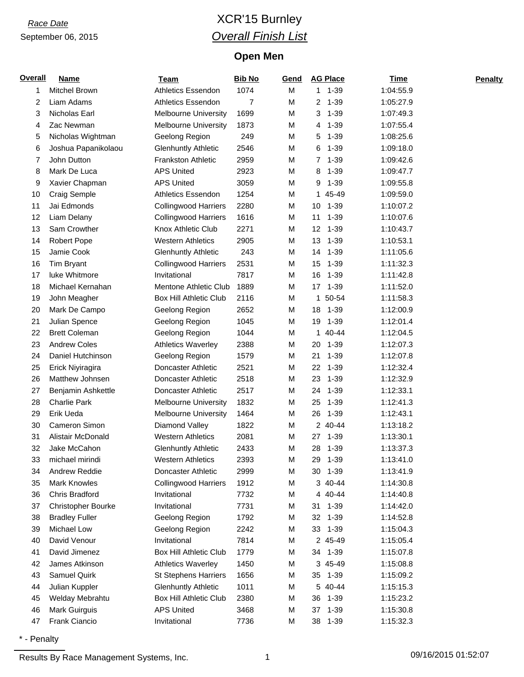### *Race Date* XCR'15 Burnley *Overall Finish List*

#### **Open Men**

| <b>Overall</b> | <b>Name</b>               | <u>Team</u>                   | <b>Bib No</b> | Gend | <b>AG Place</b> | <b>Time</b> | <b>Penalty</b> |
|----------------|---------------------------|-------------------------------|---------------|------|-----------------|-------------|----------------|
| 1              | <b>Mitchel Brown</b>      | <b>Athletics Essendon</b>     | 1074          | M    | $1 1 - 39$      | 1:04:55.9   |                |
| 2              | Liam Adams                | <b>Athletics Essendon</b>     | 7             | M    | $1 - 39$<br>2   | 1:05:27.9   |                |
| 3              | Nicholas Earl             | <b>Melbourne University</b>   | 1699          | M    | 3<br>$1 - 39$   | 1:07:49.3   |                |
| 4              | Zac Newman                | <b>Melbourne University</b>   | 1873          | M    | $1 - 39$<br>4   | 1:07:55.4   |                |
| 5              | Nicholas Wightman         | Geelong Region                | 249           | М    | $1 - 39$<br>5   | 1:08:25.6   |                |
| 6              | Joshua Papanikolaou       | <b>Glenhuntly Athletic</b>    | 2546          | M    | $1 - 39$<br>6   | 1:09:18.0   |                |
| 7              | John Dutton               | <b>Frankston Athletic</b>     | 2959          | M    | $1 - 39$<br>7   | 1:09:42.6   |                |
| 8              | Mark De Luca              | <b>APS United</b>             | 2923          | M    | $1 - 39$<br>8   | 1:09:47.7   |                |
| 9              | Xavier Chapman            | <b>APS United</b>             | 3059          | М    | $1 - 39$<br>9   | 1:09:55.8   |                |
| 10             | Craig Semple              | <b>Athletics Essendon</b>     | 1254          | M    | 45-49<br>1      | 1:09:59.0   |                |
| 11             | Jai Edmonds               | <b>Collingwood Harriers</b>   | 2280          | М    | 10<br>1-39      | 1:10:07.2   |                |
| 12             | Liam Delany               | <b>Collingwood Harriers</b>   | 1616          | М    | $1 - 39$<br>11  | 1:10:07.6   |                |
| 13             | Sam Crowther              | Knox Athletic Club            | 2271          | М    | $1 - 39$<br>12  | 1:10:43.7   |                |
| 14             | <b>Robert Pope</b>        | <b>Western Athletics</b>      | 2905          | M    | $1 - 39$<br>13  | 1:10:53.1   |                |
| 15             | Jamie Cook                | <b>Glenhuntly Athletic</b>    | 243           | М    | 14<br>$1 - 39$  | 1:11:05.6   |                |
| 16             | Tim Bryant                | <b>Collingwood Harriers</b>   | 2531          | М    | 15<br>$1 - 39$  | 1:11:32.3   |                |
| 17             | luke Whitmore             | Invitational                  | 7817          | М    | 16<br>$1 - 39$  | 1:11:42.8   |                |
| 18             | Michael Kernahan          | Mentone Athletic Club         | 1889          | M    | $1 - 39$<br>17  | 1:11:52.0   |                |
| 19             | John Meagher              | <b>Box Hill Athletic Club</b> | 2116          | М    | 50-54<br>1      | 1:11:58.3   |                |
| 20             | Mark De Campo             | Geelong Region                | 2652          | М    | 1-39<br>18      | 1:12:00.9   |                |
| 21             | Julian Spence             | Geelong Region                | 1045          | М    | 1-39<br>19      | 1:12:01.4   |                |
| 22             | <b>Brett Coleman</b>      | Geelong Region                | 1044          | M    | 40-44<br>1      | 1:12:04.5   |                |
| 23             | <b>Andrew Coles</b>       | <b>Athletics Waverley</b>     | 2388          | М    | $1 - 39$<br>20  | 1:12:07.3   |                |
| 24             | Daniel Hutchinson         | Geelong Region                | 1579          | М    | 21<br>$1 - 39$  | 1:12:07.8   |                |
| 25             | Erick Niyiragira          | Doncaster Athletic            | 2521          | М    | 22<br>$1 - 39$  | 1:12:32.4   |                |
| 26             | Matthew Johnsen           | Doncaster Athletic            | 2518          | M    | 23<br>$1 - 39$  | 1:12:32.9   |                |
| 27             | Benjamin Ashkettle        | Doncaster Athletic            | 2517          | М    | 24<br>$1 - 39$  | 1:12:33.1   |                |
| 28             | <b>Charlie Park</b>       | <b>Melbourne University</b>   | 1832          | М    | $1 - 39$<br>25  | 1:12:41.3   |                |
| 29             | Erik Ueda                 | <b>Melbourne University</b>   | 1464          | М    | $1 - 39$<br>26  | 1:12:43.1   |                |
| 30             | Cameron Simon             | Diamond Valley                | 1822          | M    | 2 40-44         | 1:13:18.2   |                |
| 31             | Alistair McDonald         | <b>Western Athletics</b>      | 2081          | М    | 27<br>1-39      | 1:13:30.1   |                |
| 32             | Jake McCahon              | <b>Glenhuntly Athletic</b>    | 2433          | M    | 28<br>$1 - 39$  | 1:13:37.3   |                |
| 33             | michael mirindi           | <b>Western Athletics</b>      | 2393          | M    | 29<br>$1 - 39$  | 1:13:41.0   |                |
| 34             | Andrew Reddie             | Doncaster Athletic            | 2999          | М    | $1 - 39$<br>30  | 1:13:41.9   |                |
| 35             | <b>Mark Knowles</b>       | <b>Collingwood Harriers</b>   | 1912          | М    | 3 40-44         | 1:14:30.8   |                |
| 36             | Chris Bradford            | Invitational                  | 7732          | М    | 4 40-44         | 1:14:40.8   |                |
| 37             | <b>Christopher Bourke</b> | Invitational                  | 7731          | M    | 31 1-39         | 1:14:42.0   |                |
| 38             | <b>Bradley Fuller</b>     | Geelong Region                | 1792          | M    | 32<br>$1 - 39$  | 1:14:52.8   |                |
| 39             | Michael Low               | Geelong Region                | 2242          | М    | 33<br>1-39      | 1:15:04.3   |                |
| 40             | David Venour              | Invitational                  | 7814          | М    | 2 45-49         | 1:15:05.4   |                |
| 41             | David Jimenez             | <b>Box Hill Athletic Club</b> | 1779          | М    | 34 1-39         | 1:15:07.8   |                |
| 42             | James Atkinson            | <b>Athletics Waverley</b>     | 1450          | М    | 3 45-49         | 1:15:08.8   |                |
| 43             | Samuel Quirk              | <b>St Stephens Harriers</b>   | 1656          | M    | 35<br>1-39      | 1:15:09.2   |                |
| 44             | Julian Kuppler            | <b>Glenhuntly Athletic</b>    | 1011          | M    | 5 40-44         | 1:15:15.3   |                |
| 45             | Welday Mebrahtu           | Box Hill Athletic Club        | 2380          | M    | 1-39<br>36      | 1:15:23.2   |                |
| 46             | Mark Guirguis             | <b>APS United</b>             | 3468          | M    | 37<br>$1 - 39$  | 1:15:30.8   |                |
| 47             | Frank Ciancio             | Invitational                  | 7736          | М    | 38<br>$1 - 39$  | 1:15:32.3   |                |

\* - Penalty

Results By Race Management Systems, Inc. 1 09/16/2015 01:52:07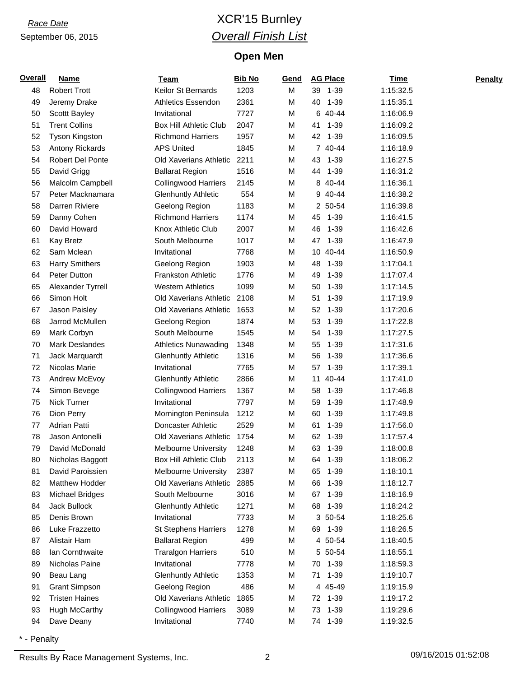### *Race Date* XCR'15 Burnley *Overall Finish List*

#### **Open Men**

| <b>Overall</b> | <b>Name</b>             | <b>Team</b>                   | <b>Bib No</b> | Gend | <b>AG Place</b> | <b>Time</b> | <b>Penalty</b> |
|----------------|-------------------------|-------------------------------|---------------|------|-----------------|-------------|----------------|
| 48             | <b>Robert Trott</b>     | Keilor St Bernards            | 1203          | M    | 39 1-39         | 1:15:32.5   |                |
| 49             | Jeremy Drake            | <b>Athletics Essendon</b>     | 2361          | M    | $1 - 39$<br>40  | 1:15:35.1   |                |
| 50             | Scottt Bayley           | Invitational                  | 7727          | M    | 6 40-44         | 1:16:06.9   |                |
| 51             | <b>Trent Collins</b>    | <b>Box Hill Athletic Club</b> | 2047          | M    | $1 - 39$<br>41  | 1:16:09.2   |                |
| 52             | <b>Tyson Kingston</b>   | <b>Richmond Harriers</b>      | 1957          | M    | 42 1-39         | 1:16:09.5   |                |
| 53             | Antony Rickards         | <b>APS United</b>             | 1845          | M    | 7 40-44         | 1:16:18.9   |                |
| 54             | <b>Robert Del Ponte</b> | Old Xaverians Athletic        | 2211          | M    | 43<br>1-39      | 1:16:27.5   |                |
| 55             | David Grigg             | <b>Ballarat Region</b>        | 1516          | M    | 44 1-39         | 1:16:31.2   |                |
| 56             | Malcolm Campbell        | <b>Collingwood Harriers</b>   | 2145          | М    | 8<br>40-44      | 1:16:36.1   |                |
| 57             | Peter Macknamara        | <b>Glenhuntly Athletic</b>    | 554           | M    | 9 40-44         | 1:16:38.2   |                |
| 58             | Darren Riviere          | Geelong Region                | 1183          | M    | 2 50-54         | 1:16:39.8   |                |
| 59             | Danny Cohen             | <b>Richmond Harriers</b>      | 1174          | M    | $1 - 39$<br>45  | 1:16:41.5   |                |
| 60             | David Howard            | Knox Athletic Club            | 2007          | M    | 46<br>$1 - 39$  | 1:16:42.6   |                |
| 61             | <b>Kay Bretz</b>        | South Melbourne               | 1017          | M    | $1 - 39$<br>47  | 1:16:47.9   |                |
| 62             | Sam Mclean              | Invitational                  | 7768          | M    | 10 40-44        | 1:16:50.9   |                |
| 63             | <b>Harry Smithers</b>   | Geelong Region                | 1903          | M    | 48<br>$1 - 39$  | 1:17:04.1   |                |
| 64             | Peter Dutton            | <b>Frankston Athletic</b>     | 1776          | M    | 49<br>$1 - 39$  | 1:17:07.4   |                |
| 65             | Alexander Tyrrell       | <b>Western Athletics</b>      | 1099          | M    | 50<br>$1 - 39$  | 1:17:14.5   |                |
| 66             | Simon Holt              | Old Xaverians Athletic        | 2108          | M    | 51<br>$1 - 39$  | 1:17:19.9   |                |
| 67             | Jason Paisley           | Old Xaverians Athletic        | 1653          | M    | 52<br>$1 - 39$  | 1:17:20.6   |                |
| 68             | Jarrod McMullen         | Geelong Region                | 1874          | M    | 53<br>$1 - 39$  | 1:17:22.8   |                |
| 69             | Mark Corbyn             | South Melbourne               | 1545          | M    | 54<br>$1 - 39$  | 1:17:27.5   |                |
| 70             | <b>Mark Deslandes</b>   | Athletics Nunawading          | 1348          | M    | 55<br>$1 - 39$  | 1:17:31.6   |                |
| 71             | Jack Marquardt          | <b>Glenhuntly Athletic</b>    | 1316          | M    | $1 - 39$<br>56  | 1:17:36.6   |                |
| 72             | Nicolas Marie           | Invitational                  | 7765          | M    | 57<br>$1 - 39$  | 1:17:39.1   |                |
| 73             | Andrew McEvoy           | <b>Glenhuntly Athletic</b>    | 2866          | M    | 40-44<br>11     | 1:17:41.0   |                |
| 74             | Simon Bevege            | <b>Collingwood Harriers</b>   | 1367          | M    | 58<br>$1 - 39$  | 1:17:46.8   |                |
| 75             | <b>Nick Turner</b>      | Invitational                  | 7797          | M    | $1 - 39$<br>59  | 1:17:48.9   |                |
| 76             | Dion Perry              | Mornington Peninsula          | 1212          | M    | 60<br>$1 - 39$  | 1:17:49.8   |                |
| 77             | Adrian Patti            | Doncaster Athletic            | 2529          | M    | 61<br>$1 - 39$  | 1:17:56.0   |                |
| 78             | Jason Antonelli         | Old Xaverians Athletic        | 1754          | M    | 62<br>$1 - 39$  | 1:17:57.4   |                |
| 79             | David McDonald          | <b>Melbourne University</b>   | 1248          | M    | 63<br>$1 - 39$  | 1:18:00.8   |                |
| 80             | Nicholas Baggott        | <b>Box Hill Athletic Club</b> | 2113          | M    | 64<br>$1 - 39$  | 1:18:06.2   |                |
| 81             | David Paroissien        | <b>Melbourne University</b>   | 2387          | M    | $1 - 39$<br>65  | 1:18:10.1   |                |
| 82             | <b>Matthew Hodder</b>   | Old Xaverians Athletic        | 2885          | M    | 66<br>$1 - 39$  | 1:18:12.7   |                |
| 83             | <b>Michael Bridges</b>  | South Melbourne               | 3016          | M    | 67 1-39         | 1:18:16.9   |                |
| 84             | Jack Bullock            | <b>Glenhuntly Athletic</b>    | 1271          | M    | 68 1-39         | 1:18:24.2   |                |
| 85             | Denis Brown             | Invitational                  | 7733          | M    | 3 50-54         | 1:18:25.6   |                |
| 86             | Luke Frazzetto          | <b>St Stephens Harriers</b>   | 1278          | M    | 69 1-39         | 1:18:26.5   |                |
| 87             | Alistair Ham            | <b>Ballarat Region</b>        | 499           | M    | 4 50-54         | 1:18:40.5   |                |
| 88             | Ian Cornthwaite         | <b>Traralgon Harriers</b>     | 510           | M    | 5 50-54         | 1:18:55.1   |                |
| 89             | Nicholas Paine          | Invitational                  | 7778          | M    | 1-39<br>70      | 1:18:59.3   |                |
| 90             | Beau Lang               | <b>Glenhuntly Athletic</b>    | 1353          | M    | 1-39<br>71      | 1:19:10.7   |                |
| 91             | <b>Grant Simpson</b>    | Geelong Region                | 486           | M    | 4 45-49         | 1:19:15.9   |                |
| 92             | <b>Tristen Haines</b>   | Old Xaverians Athletic        | 1865          | M    | 72 1-39         | 1:19:17.2   |                |
| 93             | Hugh McCarthy           | <b>Collingwood Harriers</b>   | 3089          | M    | 1-39<br>73      | 1:19:29.6   |                |
| 94             | Dave Deany              | Invitational                  | 7740          | M    | 74 1-39         | 1:19:32.5   |                |

\* - Penalty

Results By Race Management Systems, Inc. 2 2 2 2 09/16/2015 01:52:08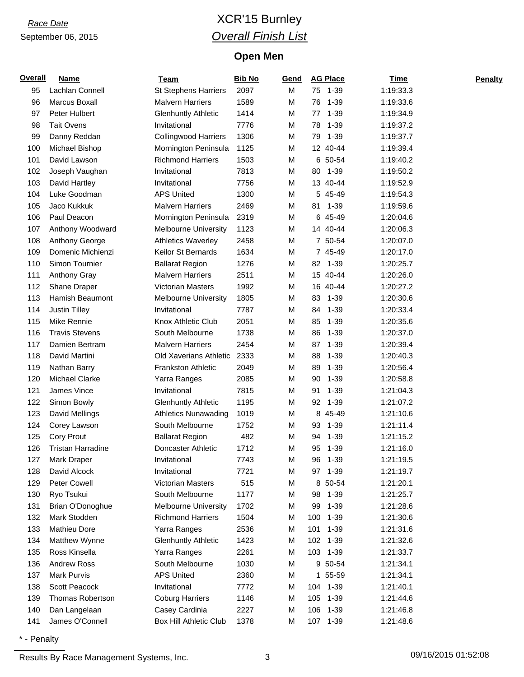### *Race Date* XCR'15 Burnley *Overall Finish List*

#### **Open Men**

| <b>Overall</b> | <b>Name</b>              | <b>Team</b>                   | <b>Bib No</b> | Gend | <b>AG Place</b> | <b>Time</b> | <b>Penalty</b> |
|----------------|--------------------------|-------------------------------|---------------|------|-----------------|-------------|----------------|
| 95             | Lachlan Connell          | <b>St Stephens Harriers</b>   | 2097          | M    | 75 1-39         | 1:19:33.3   |                |
| 96             | Marcus Boxall            | <b>Malvern Harriers</b>       | 1589          | М    | $1 - 39$<br>76  | 1:19:33.6   |                |
| 97             | Peter Hulbert            | <b>Glenhuntly Athletic</b>    | 1414          | М    | $1 - 39$<br>77  | 1:19:34.9   |                |
| 98             | <b>Tait Ovens</b>        | Invitational                  | 7776          | М    | $1 - 39$<br>78  | 1:19:37.2   |                |
| 99             | Danny Reddan             | <b>Collingwood Harriers</b>   | 1306          | M    | $1 - 39$<br>79  | 1:19:37.7   |                |
| 100            | Michael Bishop           | Mornington Peninsula          | 1125          | M    | 12 40-44        | 1:19:39.4   |                |
| 101            | David Lawson             | <b>Richmond Harriers</b>      | 1503          | M    | 6 50-54         | 1:19:40.2   |                |
| 102            | Joseph Vaughan           | Invitational                  | 7813          | М    | 80 1-39         | 1:19:50.2   |                |
| 103            | David Hartley            | Invitational                  | 7756          | M    | 13 40-44        | 1:19:52.9   |                |
| 104            | Luke Goodman             | <b>APS United</b>             | 1300          | M    | 5 45-49         | 1:19:54.3   |                |
| 105            | Jaco Kukkuk              | <b>Malvern Harriers</b>       | 2469          | M    | 81<br>1-39      | 1:19:59.6   |                |
| 106            | Paul Deacon              | Mornington Peninsula          | 2319          | M    | 6 45-49         | 1:20:04.6   |                |
| 107            | Anthony Woodward         | <b>Melbourne University</b>   | 1123          | M    | 14 40-44        | 1:20:06.3   |                |
| 108            | Anthony George           | <b>Athletics Waverley</b>     | 2458          | M    | 7 50-54         | 1:20:07.0   |                |
| 109            | Domenic Michienzi        | Keilor St Bernards            | 1634          | M    | 7 45-49         | 1:20:17.0   |                |
| 110            | Simon Tournier           | <b>Ballarat Region</b>        | 1276          | М    | 82 1-39         | 1:20:25.7   |                |
| 111            | Anthony Gray             | <b>Malvern Harriers</b>       | 2511          | М    | 15 40-44        | 1:20:26.0   |                |
| 112            | Shane Draper             | Victorian Masters             | 1992          | М    | 16 40-44        | 1:20:27.2   |                |
| 113            | Hamish Beaumont          | <b>Melbourne University</b>   | 1805          | М    | $1 - 39$<br>83  | 1:20:30.6   |                |
| 114            | Justin Tilley            | Invitational                  | 7787          | М    | $1 - 39$<br>84  | 1:20:33.4   |                |
| 115            | Mike Rennie              | Knox Athletic Club            | 2051          | M    | 85<br>$1 - 39$  | 1:20:35.6   |                |
| 116            | <b>Travis Stevens</b>    | South Melbourne               | 1738          | М    | 86<br>$1 - 39$  | 1:20:37.0   |                |
| 117            | Damien Bertram           | <b>Malvern Harriers</b>       | 2454          | M    | 87<br>$1 - 39$  | 1:20:39.4   |                |
| 118            | David Martini            | Old Xaverians Athletic        | 2333          | М    | 88<br>$1 - 39$  | 1:20:40.3   |                |
| 119            | Nathan Barry             | <b>Frankston Athletic</b>     | 2049          | М    | 89<br>$1 - 39$  | 1:20:56.4   |                |
| 120            | Michael Clarke           | Yarra Ranges                  | 2085          | М    | 90<br>$1 - 39$  | 1:20:58.8   |                |
| 121            | James Vince              | Invitational                  | 7815          | М    | 91<br>$1 - 39$  | 1:21:04.3   |                |
| 122            | Simon Bowly              | <b>Glenhuntly Athletic</b>    | 1195          | M    | $1 - 39$<br>92  | 1:21:07.2   |                |
| 123            | David Mellings           | <b>Athletics Nunawading</b>   | 1019          | M    | 8 45-49         | 1:21:10.6   |                |
| 124            | Corey Lawson             | South Melbourne               | 1752          | M    | 93<br>$1 - 39$  | 1:21:11.4   |                |
| 125            | Cory Prout               | <b>Ballarat Region</b>        | 482           | M    | 94<br>1-39      | 1:21:15.2   |                |
| 126            | <b>Tristan Harradine</b> | Doncaster Athletic            | 1712          | M    | 95<br>1-39      | 1:21:16.0   |                |
| 127            | Mark Draper              | Invitational                  | 7743          | М    | $1 - 39$<br>96  | 1:21:19.5   |                |
| 128            | David Alcock             | Invitational                  | 7721          | М    | 97 1-39         | 1:21:19.7   |                |
| 129            | Peter Cowell             | Victorian Masters             | 515           | М    | 8 50-54         | 1:21:20.1   |                |
| 130            | Ryo Tsukui               | South Melbourne               | 1177          | М    | 98 1-39         | 1:21:25.7   |                |
| 131            | Brian O'Donoghue         | Melbourne University          | 1702          | M    | 99<br>$1 - 39$  | 1:21:28.6   |                |
| 132            | Mark Stodden             | <b>Richmond Harriers</b>      | 1504          | М    | 100<br>$1 - 39$ | 1:21:30.6   |                |
| 133            | Mathieu Dore             | Yarra Ranges                  | 2536          | M    | 101 1-39        | 1:21:31.6   |                |
| 134            | Matthew Wynne            | <b>Glenhuntly Athletic</b>    | 1423          | M    | 102 1-39        | 1:21:32.6   |                |
| 135            | Ross Kinsella            | Yarra Ranges                  | 2261          | M    | 103 1-39        | 1:21:33.7   |                |
| 136            | <b>Andrew Ross</b>       | South Melbourne               | 1030          | M    | 9 50-54         | 1:21:34.1   |                |
| 137            | Mark Purvis              | <b>APS United</b>             | 2360          | M    | 1 55-59         | 1:21:34.1   |                |
| 138            | Scott Peacock            | Invitational                  | 7772          | М    | 104 1-39        | 1:21:40.1   |                |
| 139            | Thomas Robertson         | <b>Coburg Harriers</b>        | 1146          | M    | 105 1-39        | 1:21:44.6   |                |
| 140            | Dan Langelaan            | Casey Cardinia                | 2227          | M    | 106<br>1-39     | 1:21:46.8   |                |
| 141            | James O'Connell          | <b>Box Hill Athletic Club</b> | 1378          | М    | 107 1-39        | 1:21:48.6   |                |

\* - Penalty

Results By Race Management Systems, Inc. 3 3 09/16/2015 01:52:08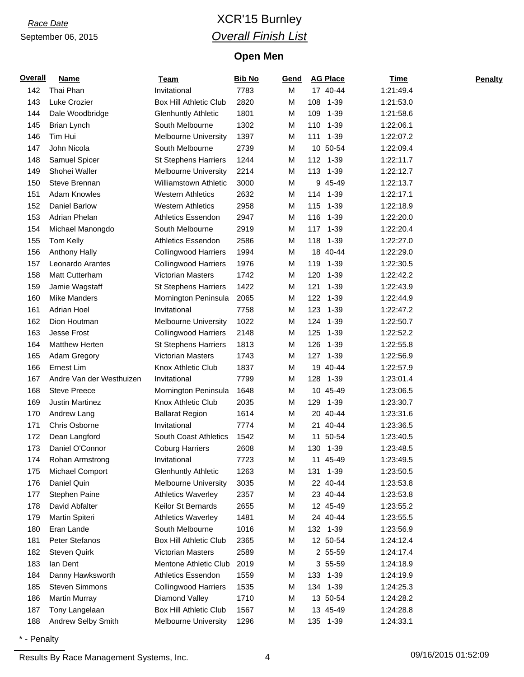### *Race Date* XCR'15 Burnley *Overall Finish List*

#### **Open Men**

| <b>Overall</b> | <b>Name</b>              | <b>Team</b>                   | <b>Bib No</b> | Gend | <b>AG Place</b>          | <b>Time</b> | <b>Penalty</b> |
|----------------|--------------------------|-------------------------------|---------------|------|--------------------------|-------------|----------------|
| 142            | Thai Phan                | Invitational                  | 7783          | М    | 17 40-44                 | 1:21:49.4   |                |
| 143            | Luke Crozier             | <b>Box Hill Athletic Club</b> | 2820          | М    | 108<br>$1 - 39$          | 1:21:53.0   |                |
| 144            | Dale Woodbridge          | <b>Glenhuntly Athletic</b>    | 1801          | M    | 109<br>$1 - 39$          | 1:21:58.6   |                |
| 145            | <b>Brian Lynch</b>       | South Melbourne               | 1302          | М    | 110<br>1-39              | 1:22:06.1   |                |
| 146            | Tim Hui                  | <b>Melbourne University</b>   | 1397          | М    | $1 - 39$<br>111          | 1:22:07.2   |                |
| 147            | John Nicola              | South Melbourne               | 2739          | М    | 10<br>50-54              | 1:22:09.4   |                |
| 148            | Samuel Spicer            | <b>St Stephens Harriers</b>   | 1244          | М    | 112 1-39                 | 1:22:11.7   |                |
| 149            | Shohei Waller            | <b>Melbourne University</b>   | 2214          | М    | 113 1-39                 | 1:22:12.7   |                |
| 150            | Steve Brennan            | <b>Williamstown Athletic</b>  | 3000          | М    | 9 45-49                  | 1:22:13.7   |                |
| 151            | <b>Adam Knowles</b>      | <b>Western Athletics</b>      | 2632          | М    | 114<br>1-39              | 1:22:17.1   |                |
| 152            | Daniel Barlow            | <b>Western Athletics</b>      | 2958          | M    | 115<br>$1 - 39$          | 1:22:18.9   |                |
| 153            | Adrian Phelan            | <b>Athletics Essendon</b>     | 2947          | М    | 116<br>$1 - 39$          | 1:22:20.0   |                |
| 154            | Michael Manongdo         | South Melbourne               | 2919          | М    | $1 - 39$<br>117          | 1:22:20.4   |                |
| 155            | Tom Kelly                | <b>Athletics Essendon</b>     | 2586          | М    | 118<br>$1 - 39$          | 1:22:27.0   |                |
| 156            | <b>Anthony Hally</b>     | <b>Collingwood Harriers</b>   | 1994          | М    | 18 40-44                 | 1:22:29.0   |                |
| 157            | Leonardo Arantes         | <b>Collingwood Harriers</b>   | 1976          | М    | 119 1-39                 | 1:22:30.5   |                |
| 158            | Matt Cutterham           | <b>Victorian Masters</b>      | 1742          | М    | 120<br>1-39              | 1:22:42.2   |                |
| 159            | Jamie Wagstaff           | <b>St Stephens Harriers</b>   | 1422          | М    | $1 - 39$<br>121          | 1:22:43.9   |                |
| 160            | <b>Mike Manders</b>      | Mornington Peninsula          | 2065          | M    | 122<br>1-39              | 1:22:44.9   |                |
| 161            | <b>Adrian Hoel</b>       | Invitational                  | 7758          | М    | 123<br>$1 - 39$          | 1:22:47.2   |                |
| 162            | Dion Houtman             | <b>Melbourne University</b>   | 1022          | М    | 124<br>1-39              | 1:22:50.7   |                |
| 163            | Jesse Frost              | <b>Collingwood Harriers</b>   | 2148          | М    | $1 - 39$<br>125          | 1:22:52.2   |                |
| 164            | <b>Matthew Herten</b>    | <b>St Stephens Harriers</b>   | 1813          | М    | 126<br>$1 - 39$          | 1:22:55.8   |                |
| 165            | Adam Gregory             | <b>Victorian Masters</b>      | 1743          | М    | 127 1-39                 | 1:22:56.9   |                |
| 166            | Ernest Lim               | Knox Athletic Club            | 1837          | М    | 19 40-44                 | 1:22:57.9   |                |
| 167            | Andre Van der Westhuizen | Invitational                  | 7799          | М    | 128<br>$1 - 39$          | 1:23:01.4   |                |
| 168            | <b>Steve Preece</b>      | Mornington Peninsula          | 1648          | М    | 45-49<br>10 <sup>°</sup> | 1:23:06.5   |                |
| 169            | <b>Justin Martinez</b>   | Knox Athletic Club            | 2035          | М    | $1 - 39$<br>129          | 1:23:30.7   |                |
| 170            | Andrew Lang              | <b>Ballarat Region</b>        | 1614          | М    | 40-44<br>20              | 1:23:31.6   |                |
| 171            | Chris Osborne            | Invitational                  | 7774          | Μ    | 40-44<br>21              | 1:23:36.5   |                |
| 172            | Dean Langford            | <b>South Coast Athletics</b>  | 1542          | М    | 11<br>50-54              | 1:23:40.5   |                |
| 173            | Daniel O'Connor          | <b>Coburg Harriers</b>        | 2608          | М    | 130 1-39                 | 1:23:48.5   |                |
| 174            | Rohan Armstrong          | Invitational                  | 7723          | М    | 11 45-49                 | 1:23:49.5   |                |
| 175            | Michael Comport          | <b>Glenhuntly Athletic</b>    | 1263          | М    | 131<br>$1 - 39$          | 1:23:50.5   |                |
| 176            | Daniel Quin              | <b>Melbourne University</b>   | 3035          | М    | 22 40-44                 | 1:23:53.8   |                |
| 177            | Stephen Paine            | <b>Athletics Waverley</b>     | 2357          | М    | 23 40-44                 | 1:23:53.8   |                |
| 178            | David Abfalter           | Keilor St Bernards            | 2655          | Μ    | 12 45-49                 | 1:23:55.2   |                |
| 179            | Martin Spiteri           | <b>Athletics Waverley</b>     | 1481          | М    | 24 40-44                 | 1:23:55.5   |                |
| 180            | Eran Lande               | South Melbourne               | 1016          | М    | 132 1-39                 | 1:23:56.9   |                |
| 181            | Peter Stefanos           | <b>Box Hill Athletic Club</b> | 2365          | М    | 12 50-54                 | 1:24:12.4   |                |
| 182            | <b>Steven Quirk</b>      | <b>Victorian Masters</b>      | 2589          | М    | 2 55-59                  | 1:24:17.4   |                |
| 183            | lan Dent                 | Mentone Athletic Club         | 2019          | М    | 3 55-59                  | 1:24:18.9   |                |
| 184            | Danny Hawksworth         | Athletics Essendon            | 1559          | М    | 133 1-39                 | 1:24:19.9   |                |
| 185            | <b>Steven Simmons</b>    | <b>Collingwood Harriers</b>   | 1535          | М    | 134 1-39                 | 1:24:25.3   |                |
| 186            | <b>Martin Murray</b>     | Diamond Valley                | 1710          | М    | 13 50-54                 | 1:24:28.2   |                |
| 187            | Tony Langelaan           | <b>Box Hill Athletic Club</b> | 1567          | М    | 13 45-49                 | 1:24:28.8   |                |
| 188            | Andrew Selby Smith       | <b>Melbourne University</b>   | 1296          | М    | 135 1-39                 | 1:24:33.1   |                |

\* - Penalty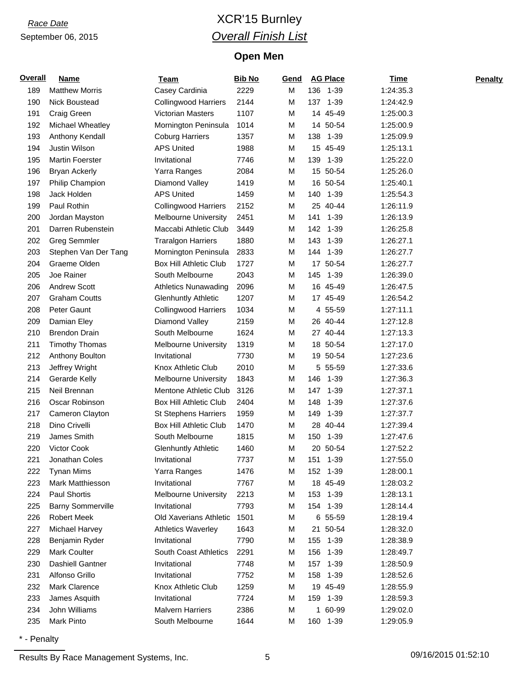### *Race Date* XCR'15 Burnley *Overall Finish List*

#### **Open Men**

| Overall | <b>Name</b>              | Team                          | <b>Bib No</b> | Gend |              | <b>AG Place</b> | <b>Time</b> | <b>Penalty</b> |
|---------|--------------------------|-------------------------------|---------------|------|--------------|-----------------|-------------|----------------|
| 189     | <b>Matthew Morris</b>    | Casey Cardinia                | 2229          | M    |              | 136 1-39        | 1:24:35.3   |                |
| 190     | Nick Boustead            | <b>Collingwood Harriers</b>   | 2144          | M    | 137          | $1 - 39$        | 1:24:42.9   |                |
| 191     | Craig Green              | <b>Victorian Masters</b>      | 1107          | M    |              | 14 45-49        | 1:25:00.3   |                |
| 192     | Michael Wheatley         | Mornington Peninsula          | 1014          | M    |              | 14 50-54        | 1:25:00.9   |                |
| 193     | Anthony Kendall          | <b>Coburg Harriers</b>        | 1357          | M    | 138          | 1-39            | 1:25:09.9   |                |
| 194     | Justin Wilson            | <b>APS United</b>             | 1988          | M    |              | 15 45-49        | 1:25:13.1   |                |
| 195     | <b>Martin Foerster</b>   | Invitational                  | 7746          | M    | 139          | $1 - 39$        | 1:25:22.0   |                |
| 196     | <b>Bryan Ackerly</b>     | Yarra Ranges                  | 2084          | М    |              | 15 50-54        | 1:25:26.0   |                |
| 197     | Philip Champion          | Diamond Valley                | 1419          | М    |              | 16 50-54        | 1:25:40.1   |                |
| 198     | Jack Holden              | <b>APS United</b>             | 1459          | M    | 140          | $1 - 39$        | 1:25:54.3   |                |
| 199     | Paul Rothin              | <b>Collingwood Harriers</b>   | 2152          | M    |              | 25 40-44        | 1:26:11.9   |                |
| 200     | Jordan Mayston           | <b>Melbourne University</b>   | 2451          | M    | 141          | $1 - 39$        | 1:26:13.9   |                |
| 201     | Darren Rubenstein        | Maccabi Athletic Club         | 3449          | M    | 142          | $1 - 39$        | 1:26:25.8   |                |
| 202     | <b>Greg Semmler</b>      | <b>Traralgon Harriers</b>     | 1880          | M    | 143          | $1 - 39$        | 1:26:27.1   |                |
| 203     | Stephen Van Der Tang     | Mornington Peninsula          | 2833          | M    | 144          | $1 - 39$        | 1:26:27.7   |                |
| 204     | Graeme Olden             | <b>Box Hill Athletic Club</b> | 1727          | M    |              | 17 50-54        | 1:26:27.7   |                |
| 205     | Joe Rainer               | South Melbourne               | 2043          | M    |              | 145 1-39        | 1:26:39.0   |                |
| 206     | <b>Andrew Scott</b>      | <b>Athletics Nunawading</b>   | 2096          | M    |              | 16 45-49        | 1:26:47.5   |                |
| 207     | <b>Graham Coutts</b>     | <b>Glenhuntly Athletic</b>    | 1207          | М    |              | 17 45-49        | 1:26:54.2   |                |
| 208     | Peter Gaunt              | <b>Collingwood Harriers</b>   | 1034          | M    |              | 4 55-59         | 1:27:11.1   |                |
| 209     | Damian Eley              | Diamond Valley                | 2159          | М    |              | 26 40-44        | 1:27:12.8   |                |
| 210     | <b>Brendon Drain</b>     | South Melbourne               | 1624          | М    |              | 27 40-44        | 1:27:13.3   |                |
| 211     | <b>Timothy Thomas</b>    | <b>Melbourne University</b>   | 1319          | М    |              | 18 50-54        | 1:27:17.0   |                |
| 212     | Anthony Boulton          | Invitational                  | 7730          | М    |              | 19 50-54        | 1:27:23.6   |                |
| 213     | Jeffrey Wright           | Knox Athletic Club            | 2010          | М    |              | 5 55-59         | 1:27:33.6   |                |
| 214     | Gerarde Kelly            | <b>Melbourne University</b>   | 1843          | M    | 146          | 1-39            | 1:27:36.3   |                |
| 215     | Neil Brennan             | Mentone Athletic Club         | 3126          | M    | 147          | $1 - 39$        | 1:27:37.1   |                |
| 216     | Oscar Robinson           | <b>Box Hill Athletic Club</b> | 2404          | M    | 148          | $1 - 39$        | 1:27:37.6   |                |
| 217     | Cameron Clayton          | <b>St Stephens Harriers</b>   | 1959          | M    | 149          | $1 - 39$        | 1:27:37.7   |                |
| 218     | Dino Crivelli            | <b>Box Hill Athletic Club</b> | 1470          | М    |              | 28 40-44        | 1:27:39.4   |                |
| 219     | James Smith              | South Melbourne               | 1815          | M    | 150          | 1-39            | 1:27:47.6   |                |
| 220     | Victor Cook              | <b>Glenhuntly Athletic</b>    | 1460          | M    |              | 20 50-54        | 1:27:52.2   |                |
| 221     | Jonathan Coles           | Invitational                  | 7737          | M    | 151          | 1-39            | 1:27:55.0   |                |
| 222     | <b>Tynan Mims</b>        | Yarra Ranges                  | 1476          | M    |              | 152 1-39        | 1:28:00.1   |                |
| 223     | Mark Matthiesson         | Invitational                  | 7767          | М    |              | 18 45-49        | 1:28:03.2   |                |
| 224     | Paul Shortis             | <b>Melbourne University</b>   | 2213          | M    |              | 153 1-39        | 1:28:13.1   |                |
| 225     | <b>Barny Sommerville</b> | Invitational                  | 7793          | M    |              | 154 1-39        | 1:28:14.4   |                |
| 226     | <b>Robert Meek</b>       | Old Xaverians Athletic        | 1501          | М    |              | 6 55-59         | 1:28:19.4   |                |
| 227     | Michael Harvey           | <b>Athletics Waverley</b>     | 1643          | М    |              | 21 50-54        | 1:28:32.0   |                |
| 228     | Benjamin Ryder           | Invitational                  | 7790          | M    |              | 155 1-39        | 1:28:38.9   |                |
| 229     | <b>Mark Coulter</b>      | South Coast Athletics         | 2291          | M    |              | 156 1-39        | 1:28:49.7   |                |
| 230     | <b>Dashiell Gantner</b>  | Invitational                  | 7748          | M    | 157          | $1 - 39$        | 1:28:50.9   |                |
| 231     | Alfonso Grillo           | Invitational                  | 7752          | M    |              | 158 1-39        | 1:28:52.6   |                |
| 232     | Mark Clarence            | Knox Athletic Club            | 1259          | м    |              | 19 45-49        | 1:28:55.9   |                |
| 233     | James Asquith            | Invitational                  | 7724          | м    |              | 159 1-39        | 1:28:59.3   |                |
| 234     | John Williams            | <b>Malvern Harriers</b>       | 2386          | М    | $\mathbf{1}$ | 60-99           | 1:29:02.0   |                |
| 235     | Mark Pinto               | South Melbourne               | 1644          | М    |              | 160 1-39        | 1:29:05.9   |                |

\* - Penalty

Results By Race Management Systems, Inc. 6 09/16/2015 01:52:10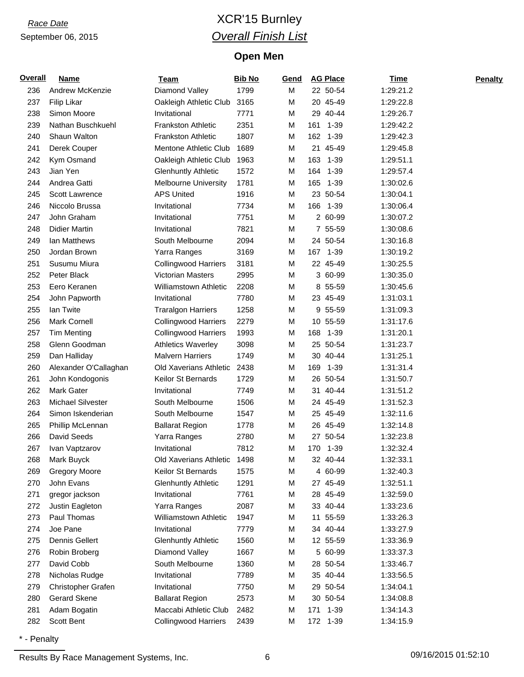### *Race Date* XCR'15 Burnley *Overall Finish List*

#### **Open Men**

| <b>Overall</b> | <b>Name</b>           | <b>Team</b>                  | <b>Bib No</b> | Gend | <b>AG Place</b> |          | <b>Time</b> | <b>Penalty</b> |
|----------------|-----------------------|------------------------------|---------------|------|-----------------|----------|-------------|----------------|
| 236            | Andrew McKenzie       | Diamond Valley               | 1799          | M    | 22 50-54        |          | 1:29:21.2   |                |
| 237            | Filip Likar           | Oakleigh Athletic Club       | 3165          | M    | 20 45-49        |          | 1:29:22.8   |                |
| 238            | Simon Moore           | Invitational                 | 7771          | M    | 29 40-44        |          | 1:29:26.7   |                |
| 239            | Nathan Buschkuehl     | <b>Frankston Athletic</b>    | 2351          | M    | 161             | 1-39     | 1:29:42.2   |                |
| 240            | Shaun Walton          | <b>Frankston Athletic</b>    | 1807          | M    | 162 1-39        |          | 1:29:42.3   |                |
| 241            | Derek Couper          | Mentone Athletic Club        | 1689          | M    | 21              | 45-49    | 1:29:45.8   |                |
| 242            | Kym Osmand            | Oakleigh Athletic Club       | 1963          | M    | 163             | 1-39     | 1:29:51.1   |                |
| 243            | Jian Yen              | <b>Glenhuntly Athletic</b>   | 1572          | M    | 164 1-39        |          | 1:29:57.4   |                |
| 244            | Andrea Gatti          | <b>Melbourne University</b>  | 1781          | M    | 165 1-39        |          | 1:30:02.6   |                |
| 245            | Scott Lawrence        | <b>APS United</b>            | 1916          | M    | 23 50-54        |          | 1:30:04.1   |                |
| 246            | Niccolo Brussa        | Invitational                 | 7734          | M    | 166             | 1-39     | 1:30:06.4   |                |
| 247            | John Graham           | Invitational                 | 7751          | M    | 2 60-99         |          | 1:30:07.2   |                |
| 248            | <b>Didier Martin</b>  | Invitational                 | 7821          | М    | 7 55-59         |          | 1:30:08.6   |                |
| 249            | Ian Matthews          | South Melbourne              | 2094          | M    | 24 50-54        |          | 1:30:16.8   |                |
| 250            | Jordan Brown          | Yarra Ranges                 | 3169          | M    | 167 1-39        |          | 1:30:19.2   |                |
| 251            | Susumu Miura          | <b>Collingwood Harriers</b>  | 3181          | М    | 22 45-49        |          | 1:30:25.5   |                |
| 252            | Peter Black           | <b>Victorian Masters</b>     | 2995          | М    | 3 60-99         |          | 1:30:35.0   |                |
| 253            | Eero Keranen          | <b>Williamstown Athletic</b> | 2208          | M    | 8 55-59         |          | 1:30:45.6   |                |
| 254            | John Papworth         | Invitational                 | 7780          | M    | 23 45-49        |          | 1:31:03.1   |                |
| 255            | lan Twite             | <b>Traralgon Harriers</b>    | 1258          | М    | 9 55-59         |          | 1:31:09.3   |                |
| 256            | <b>Mark Cornell</b>   | <b>Collingwood Harriers</b>  | 2279          | М    | 10 55-59        |          | 1:31:17.6   |                |
| 257            | <b>Tim Menting</b>    | <b>Collingwood Harriers</b>  | 1993          | M    | 168             | 1-39     | 1:31:20.1   |                |
| 258            | Glenn Goodman         | <b>Athletics Waverley</b>    | 3098          | М    | 25 50-54        |          | 1:31:23.7   |                |
| 259            | Dan Halliday          | <b>Malvern Harriers</b>      | 1749          | М    | 30 40-44        |          | 1:31:25.1   |                |
| 260            | Alexander O'Callaghan | Old Xaverians Athletic       | 2438          | M    | 169             | 1-39     | 1:31:31.4   |                |
| 261            | John Kondogonis       | Keilor St Bernards           | 1729          | М    | 26 50-54        |          | 1:31:50.7   |                |
| 262            | <b>Mark Gater</b>     | Invitational                 | 7749          | М    | 31 40-44        |          | 1:31:51.2   |                |
| 263            | Michael Silvester     | South Melbourne              | 1506          | М    | 24 45-49        |          | 1:31:52.3   |                |
| 264            | Simon Iskenderian     | South Melbourne              | 1547          | М    | 25 45-49        |          | 1:32:11.6   |                |
| 265            | Phillip McLennan      | <b>Ballarat Region</b>       | 1778          | М    | 26 45-49        |          | 1:32:14.8   |                |
| 266            | David Seeds           | Yarra Ranges                 | 2780          | M    | 27 50-54        |          | 1:32:23.8   |                |
| 267            | Ivan Vaptzarov        | Invitational                 | 7812          | M    | 170 1-39        |          | 1:32:32.4   |                |
| 268            | Mark Buyck            | Old Xaverians Athletic       | 1498          | M    | 32 40-44        |          | 1:32:33.1   |                |
| 269            | <b>Gregory Moore</b>  | Keilor St Bernards           | 1575          | М    | 4 60-99         |          | 1:32:40.3   |                |
| 270            | John Evans            | <b>Glenhuntly Athletic</b>   | 1291          | М    | 27 45-49        |          | 1:32:51.1   |                |
| 271            | gregor jackson        | Invitational                 | 7761          | M    | 28 45-49        |          | 1:32:59.0   |                |
| 272            | Justin Eagleton       | Yarra Ranges                 | 2087          | М    | 33 40-44        |          | 1:33:23.6   |                |
| 273            | Paul Thomas           | <b>Williamstown Athletic</b> | 1947          | М    | 11 55-59        |          | 1:33:26.3   |                |
| 274            | Joe Pane              | Invitational                 | 7779          | М    | 34 40-44        |          | 1:33:27.9   |                |
| 275            | <b>Dennis Gellert</b> | <b>Glenhuntly Athletic</b>   | 1560          | М    | 12 55-59        |          | 1:33:36.9   |                |
| 276            | Robin Broberg         | Diamond Valley               | 1667          | М    | 5 60-99         |          | 1:33:37.3   |                |
| 277            | David Cobb            | South Melbourne              | 1360          | М    | 28 50-54        |          | 1:33:46.7   |                |
| 278            | Nicholas Rudge        | Invitational                 | 7789          | M    | 35 40-44        |          | 1:33:56.5   |                |
| 279            | Christopher Grafen    | Invitational                 | 7750          | М    | 29 50-54        |          | 1:34:04.1   |                |
| 280            | <b>Gerard Skene</b>   | <b>Ballarat Region</b>       | 2573          | М    | 30 50-54        |          | 1:34:08.8   |                |
| 281            | Adam Bogatin          | Maccabi Athletic Club        | 2482          | M    | 171             | $1 - 39$ | 1:34:14.3   |                |
| 282            | Scott Bent            | <b>Collingwood Harriers</b>  | 2439          | М    | 172 1-39        |          | 1:34:15.9   |                |

\* - Penalty

Results By Race Management Systems, Inc. 6 09/16/2015 01:52:10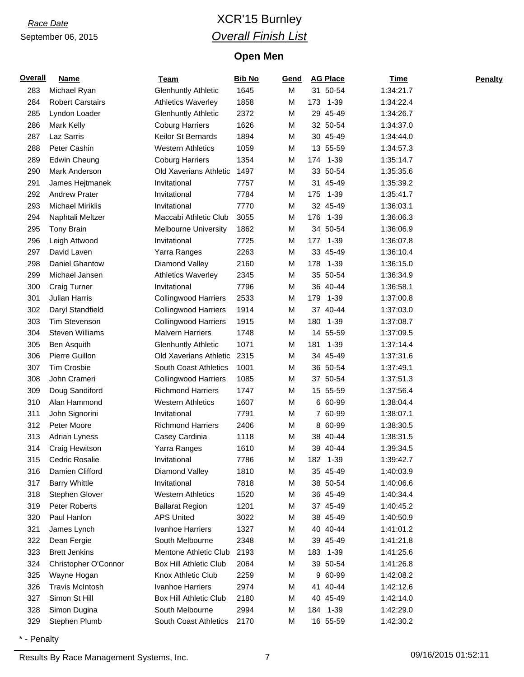### *Race Date* XCR'15 Burnley *Overall Finish List*

#### **Open Men**

| Overall | <b>Name</b>             | Team                         | <b>Bib No</b> | Gend |     | <b>AG Place</b> | <b>Time</b> | <b>Penalty</b> |
|---------|-------------------------|------------------------------|---------------|------|-----|-----------------|-------------|----------------|
| 283     | Michael Ryan            | <b>Glenhuntly Athletic</b>   | 1645          | M    |     | 31 50-54        | 1:34:21.7   |                |
| 284     | <b>Robert Carstairs</b> | <b>Athletics Waverley</b>    | 1858          | M    | 173 | $1 - 39$        | 1:34:22.4   |                |
| 285     | Lyndon Loader           | <b>Glenhuntly Athletic</b>   | 2372          | M    |     | 29 45-49        | 1:34:26.7   |                |
| 286     | <b>Mark Kelly</b>       | <b>Coburg Harriers</b>       | 1626          | M    |     | 32 50-54        | 1:34:37.0   |                |
| 287     | Laz Sarris              | Keilor St Bernards           | 1894          | М    |     | 30 45-49        | 1:34:44.0   |                |
| 288     | Peter Cashin            | <b>Western Athletics</b>     | 1059          | М    |     | 13 55-59        | 1:34:57.3   |                |
| 289     | <b>Edwin Cheung</b>     | <b>Coburg Harriers</b>       | 1354          | M    | 174 | 1-39            | 1:35:14.7   |                |
| 290     | Mark Anderson           | Old Xaverians Athletic       | 1497          | М    |     | 33 50-54        | 1:35:35.6   |                |
| 291     | James Hejtmanek         | Invitational                 | 7757          | М    |     | 31 45-49        | 1:35:39.2   |                |
| 292     | <b>Andrew Prater</b>    | Invitational                 | 7784          | M    | 175 | 1-39            | 1:35:41.7   |                |
| 293     | Michael Miriklis        | Invitational                 | 7770          | M    |     | 32 45-49        | 1:36:03.1   |                |
| 294     | Naphtali Meltzer        | Maccabi Athletic Club        | 3055          | M    |     | 176 1-39        | 1:36:06.3   |                |
| 295     | Tony Brain              | <b>Melbourne University</b>  | 1862          | М    |     | 34 50-54        | 1:36:06.9   |                |
| 296     | Leigh Attwood           | Invitational                 | 7725          | M    | 177 | $1 - 39$        | 1:36:07.8   |                |
| 297     | David Laven             | Yarra Ranges                 | 2263          | M    |     | 33 45-49        | 1:36:10.4   |                |
| 298     | Daniel Ghantow          | Diamond Valley               | 2160          | M    |     | 178 1-39        | 1:36:15.0   |                |
| 299     | Michael Jansen          | <b>Athletics Waverley</b>    | 2345          | М    |     | 35 50-54        | 1:36:34.9   |                |
| 300     | <b>Craig Turner</b>     | Invitational                 | 7796          | M    |     | 36 40-44        | 1:36:58.1   |                |
| 301     | <b>Julian Harris</b>    | <b>Collingwood Harriers</b>  | 2533          | M    | 179 | $1 - 39$        | 1:37:00.8   |                |
| 302     | Daryl Standfield        | <b>Collingwood Harriers</b>  | 1914          | M    |     | 37 40-44        | 1:37:03.0   |                |
| 303     | Tim Stevenson           | <b>Collingwood Harriers</b>  | 1915          | M    |     | 180 1-39        | 1:37:08.7   |                |
| 304     | <b>Steven Williams</b>  | <b>Malvern Harriers</b>      | 1748          | M    |     | 14 55-59        | 1:37:09.5   |                |
| 305     | Ben Asquith             | <b>Glenhuntly Athletic</b>   | 1071          | M    | 181 | $1 - 39$        | 1:37:14.4   |                |
| 306     | Pierre Guillon          | Old Xaverians Athletic       | 2315          | М    |     | 34 45-49        | 1:37:31.6   |                |
| 307     | <b>Tim Crosbie</b>      | <b>South Coast Athletics</b> | 1001          | М    |     | 36 50-54        | 1:37:49.1   |                |
| 308     | John Crameri            | <b>Collingwood Harriers</b>  | 1085          | М    |     | 37 50-54        | 1:37:51.3   |                |
| 309     | Doug Sandiford          | <b>Richmond Harriers</b>     | 1747          | M    |     | 15 55-59        | 1:37:56.4   |                |
| 310     | Alan Hammond            | <b>Western Athletics</b>     | 1607          | М    |     | 6 60-99         | 1:38:04.4   |                |
| 311     | John Signorini          | Invitational                 | 7791          | М    |     | 7 60-99         | 1:38:07.1   |                |
| 312     | Peter Moore             | <b>Richmond Harriers</b>     | 2406          | М    |     | 8 60-99         | 1:38:30.5   |                |
| 313     | <b>Adrian Lyness</b>    | Casey Cardinia               | 1118          | М    |     | 38 40-44        | 1:38:31.5   |                |
| 314     | Craig Hewitson          | Yarra Ranges                 | 1610          | M    |     | 39 40-44        | 1:39:34.5   |                |
| 315     | Cedric Rosalie          | Invitational                 | 7786          | M    |     | 182 1-39        | 1:39:42.7   |                |
| 316     | Damien Clifford         | Diamond Valley               | 1810          | М    |     | 35 45-49        | 1:40:03.9   |                |
| 317     | <b>Barry Whittle</b>    | Invitational                 | 7818          | М    |     | 38 50-54        | 1:40:06.6   |                |
| 318     | Stephen Glover          | <b>Western Athletics</b>     | 1520          | М    |     | 36 45-49        | 1:40:34.4   |                |
| 319     | Peter Roberts           | <b>Ballarat Region</b>       | 1201          | М    |     | 37 45-49        | 1:40:45.2   |                |
| 320     | Paul Hanlon             | <b>APS United</b>            | 3022          | М    |     | 38 45-49        | 1:40:50.9   |                |
| 321     | James Lynch             | Ivanhoe Harriers             | 1327          | М    |     | 40 40-44        | 1:41:01.2   |                |
| 322     | Dean Fergie             | South Melbourne              | 2348          | M    |     | 39 45-49        | 1:41:21.8   |                |
| 323     | <b>Brett Jenkins</b>    | Mentone Athletic Club        | 2193          | M    |     | 183 1-39        | 1:41:25.6   |                |
| 324     | Christopher O'Connor    | Box Hill Athletic Club       | 2064          | М    |     | 39 50-54        | 1:41:26.8   |                |
| 325     | Wayne Hogan             | Knox Athletic Club           | 2259          | М    |     | 9 60-99         | 1:42:08.2   |                |
| 326     | <b>Travis McIntosh</b>  | Ivanhoe Harriers             | 2974          | M    |     | 41 40-44        | 1:42:12.6   |                |
| 327     | Simon St Hill           | Box Hill Athletic Club       | 2180          | М    |     | 40 45-49        | 1:42:14.0   |                |
| 328     | Simon Dugina            | South Melbourne              | 2994          | M    |     | 184 1-39        | 1:42:29.0   |                |
| 329     | Stephen Plumb           | South Coast Athletics        | 2170          | М    |     | 16 55-59        | 1:42:30.2   |                |

\* - Penalty

Results By Race Management Systems, Inc. 7 7 7 09/16/2015 01:52:11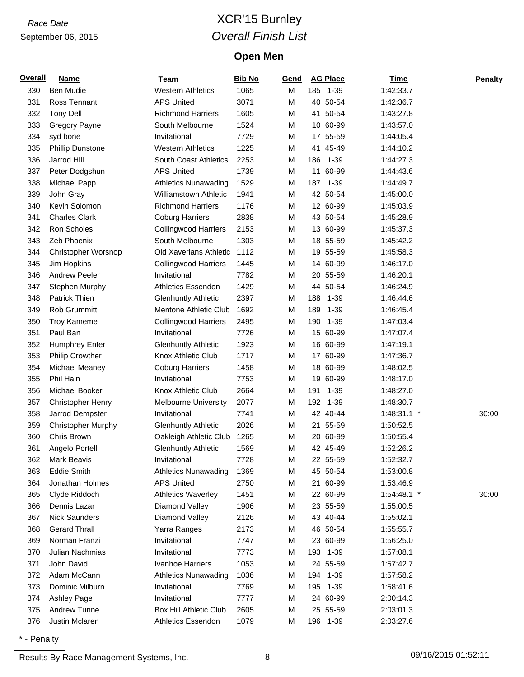### *Race Date* XCR'15 Burnley *Overall Finish List*

#### **Open Men**

| <b>Overall</b> | <b>Name</b>               | <b>Team</b>                   | <b>Bib No</b> | Gend |     | <b>AG Place</b> | <b>Time</b> | <b>Penalty</b> |
|----------------|---------------------------|-------------------------------|---------------|------|-----|-----------------|-------------|----------------|
| 330            | <b>Ben Mudie</b>          | <b>Western Athletics</b>      | 1065          | M    |     | 185 1-39        | 1:42:33.7   |                |
| 331            | Ross Tennant              | <b>APS United</b>             | 3071          | M    |     | 40 50-54        | 1:42:36.7   |                |
| 332            | <b>Tony Dell</b>          | <b>Richmond Harriers</b>      | 1605          | M    |     | 41 50-54        | 1:43:27.8   |                |
| 333            | <b>Gregory Payne</b>      | South Melbourne               | 1524          | M    |     | 10 60-99        | 1:43:57.0   |                |
| 334            | syd bone                  | Invitational                  | 7729          | M    |     | 17 55-59        | 1:44:05.4   |                |
| 335            | <b>Phillip Dunstone</b>   | <b>Western Athletics</b>      | 1225          | M    |     | 41 45-49        | 1:44:10.2   |                |
| 336            | Jarrod Hill               | South Coast Athletics         | 2253          | M    |     | 186 1-39        | 1:44:27.3   |                |
| 337            | Peter Dodgshun            | <b>APS United</b>             | 1739          | M    |     | 11 60-99        | 1:44:43.6   |                |
| 338            | Michael Papp              | <b>Athletics Nunawading</b>   | 1529          | M    | 187 | $1 - 39$        | 1:44:49.7   |                |
| 339            | John Gray                 | <b>Williamstown Athletic</b>  | 1941          | M    |     | 42 50-54        | 1:45:00.0   |                |
| 340            | Kevin Solomon             | <b>Richmond Harriers</b>      | 1176          | M    |     | 12 60-99        | 1:45:03.9   |                |
| 341            | <b>Charles Clark</b>      | <b>Coburg Harriers</b>        | 2838          | M    |     | 43 50-54        | 1:45:28.9   |                |
| 342            | Ron Scholes               | <b>Collingwood Harriers</b>   | 2153          | M    |     | 13 60-99        | 1:45:37.3   |                |
| 343            | Zeb Phoenix               | South Melbourne               | 1303          | M    |     | 18 55-59        | 1:45:42.2   |                |
| 344            | Christopher Worsnop       | Old Xaverians Athletic        | 1112          | M    |     | 19 55-59        | 1:45:58.3   |                |
| 345            | Jim Hopkins               | <b>Collingwood Harriers</b>   | 1445          | M    |     | 14 60-99        | 1:46:17.0   |                |
| 346            | <b>Andrew Peeler</b>      | Invitational                  | 7782          | M    |     | 20 55-59        | 1:46:20.1   |                |
| 347            | Stephen Murphy            | <b>Athletics Essendon</b>     | 1429          | M    |     | 44 50-54        | 1:46:24.9   |                |
| 348            | Patrick Thien             | <b>Glenhuntly Athletic</b>    | 2397          | M    | 188 | 1-39            | 1:46:44.6   |                |
| 349            | Rob Grummitt              | Mentone Athletic Club         | 1692          | M    | 189 | 1-39            | 1:46:45.4   |                |
| 350            | <b>Troy Kameme</b>        | <b>Collingwood Harriers</b>   | 2495          | M    | 190 | $1 - 39$        | 1:47:03.4   |                |
| 351            | Paul Ban                  | Invitational                  | 7726          | M    |     | 15 60-99        | 1:47:07.4   |                |
| 352            | <b>Humphrey Enter</b>     | <b>Glenhuntly Athletic</b>    | 1923          | M    |     | 16 60-99        | 1:47:19.1   |                |
| 353            | <b>Philip Crowther</b>    | Knox Athletic Club            | 1717          | M    |     | 17 60-99        | 1:47:36.7   |                |
| 354            | Michael Meaney            | <b>Coburg Harriers</b>        | 1458          | M    |     | 18 60-99        | 1:48:02.5   |                |
| 355            | Phil Hain                 | Invitational                  | 7753          | M    |     | 19 60-99        | 1:48:17.0   |                |
| 356            | Michael Booker            | Knox Athletic Club            | 2664          | M    | 191 | $1 - 39$        | 1:48:27.0   |                |
| 357            | <b>Christopher Henry</b>  | <b>Melbourne University</b>   | 2077          | M    | 192 | 1-39            | 1:48:30.7   |                |
| 358            | Jarrod Dempster           | Invitational                  | 7741          | M    |     | 42 40-44        | 1:48:31.1 * | 30:00          |
| 359            | <b>Christopher Murphy</b> | <b>Glenhuntly Athletic</b>    | 2026          | M    |     | 21 55-59        | 1:50:52.5   |                |
| 360            | Chris Brown               | Oakleigh Athletic Club        | 1265          | M    |     | 20 60-99        | 1:50:55.4   |                |
| 361            | Angelo Portelli           | <b>Glenhuntly Athletic</b>    | 1569          | M    |     | 42 45-49        | 1:52:26.2   |                |
| 362            | Mark Beavis               | Invitational                  | 7728          | M    |     | 22 55-59        | 1:52:32.7   |                |
| 363            | <b>Eddie Smith</b>        | <b>Athletics Nunawading</b>   | 1369          | M    |     | 45 50-54        | 1:53:00.8   |                |
| 364            | Jonathan Holmes           | <b>APS United</b>             | 2750          | M    |     | 21 60-99        | 1:53:46.9   |                |
| 365            | Clyde Riddoch             | <b>Athletics Waverley</b>     | 1451          | M    |     | 22 60-99        | 1:54:48.1 * | 30:00          |
| 366            | Dennis Lazar              | Diamond Valley                | 1906          | M    |     | 23 55-59        | 1:55:00.5   |                |
| 367            | <b>Nick Saunders</b>      | Diamond Valley                | 2126          | M    |     | 43 40-44        | 1:55:02.1   |                |
| 368            | <b>Gerard Thrall</b>      | Yarra Ranges                  | 2173          | M    |     | 46 50-54        | 1:55:55.7   |                |
| 369            | Norman Franzi             | Invitational                  | 7747          | M    |     | 23 60-99        | 1:56:25.0   |                |
| 370            | Julian Nachmias           | Invitational                  | 7773          | M    |     | 193 1-39        | 1:57:08.1   |                |
| 371            | John David                | Ivanhoe Harriers              | 1053          | M    |     | 24 55-59        | 1:57:42.7   |                |
| 372            | Adam McCann               | <b>Athletics Nunawading</b>   | 1036          | M    |     | 194 1-39        | 1:57:58.2   |                |
| 373            | Dominic Milburn           | Invitational                  | 7769          | M    |     | 195 1-39        | 1:58:41.6   |                |
| 374            | <b>Ashley Page</b>        | Invitational                  | 7777          | M    |     | 24 60-99        | 2:00:14.3   |                |
| 375            | <b>Andrew Tunne</b>       | <b>Box Hill Athletic Club</b> | 2605          | M    |     | 25 55-59        | 2:03:01.3   |                |
| 376            | Justin Mclaren            | Athletics Essendon            | 1079          | м    |     | 196 1-39        | 2:03:27.6   |                |

\* - Penalty

Results By Race Management Systems, Inc. 68 09/16/2015 01:52:11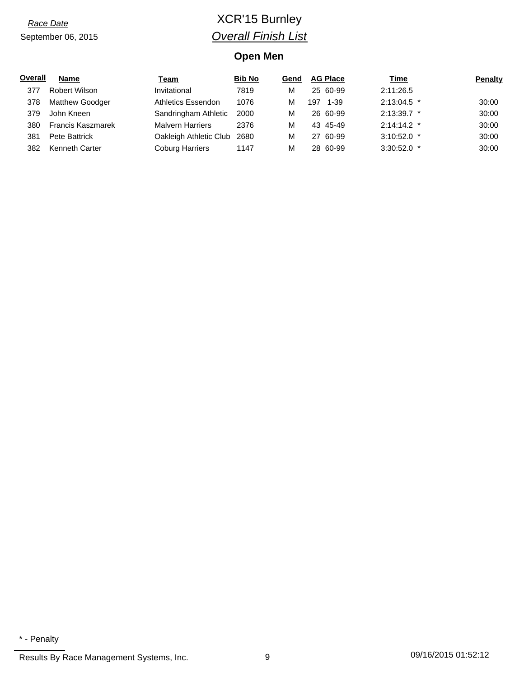## *Race Date* XCR'15 Burnley *Overall Finish List*

#### **Open Men**

| Overall | <b>Name</b>              | Team                    | <b>Bib No</b> | Gend |     | <b>AG Place</b> | <u>Time</u>   | <b>Penalty</b> |
|---------|--------------------------|-------------------------|---------------|------|-----|-----------------|---------------|----------------|
| 377     | <b>Robert Wilson</b>     | Invitational            | 7819          | м    |     | 25 60-99        | 2:11:26.5     |                |
| 378     | <b>Matthew Goodger</b>   | Athletics Essendon      | 1076          | м    | 197 | 1-39            | $2:13:04.5$ * | 30:00          |
| 379     | John Kneen               | Sandringham Athletic    | 2000          | М    |     | 26 60-99        | $2:13:39.7$ * | 30:00          |
| 380     | <b>Francis Kaszmarek</b> | <b>Malvern Harriers</b> | 2376          | М    |     | 43 45-49        | $2:14:14.2$ * | 30:00          |
| 381     | Pete Battrick            | Oakleigh Athletic Club  | 2680          | М    |     | 27 60-99        | $3:10:52.0$ * | 30:00          |
| 382     | Kenneth Carter           | <b>Coburg Harriers</b>  | 1147          | М    |     | 28 60-99        | $3:30:52.0$ * | 30:00          |

<sup>\* -</sup> Penalty

Results By Race Management Systems, Inc. 2010 909 09/16/2015 01:52:12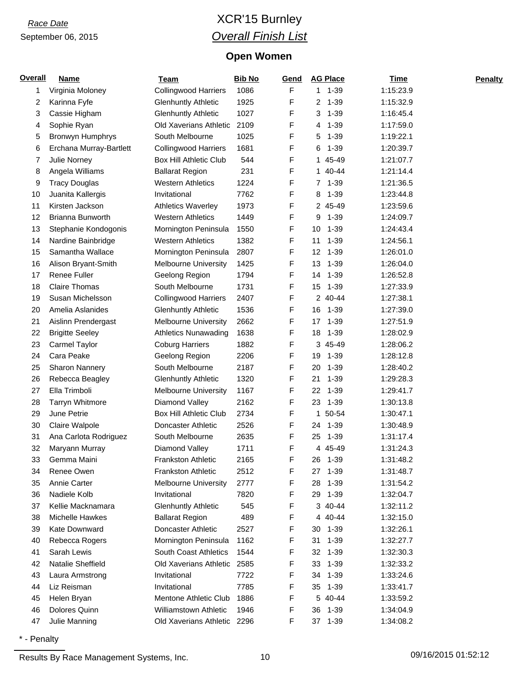## *Race Date* XCR'15 Burnley *Overall Finish List*

#### **Open Women**

| F<br>1086<br>$1 1 - 39$<br>1:15:23.9<br>Virginia Moloney<br><b>Collingwood Harriers</b><br>1<br>Karinna Fyfe<br>1925<br>F<br>$1 - 39$<br>2<br><b>Glenhuntly Athletic</b><br>2<br>1:15:32.9<br>1027<br>F<br>Cassie Higham<br><b>Glenhuntly Athletic</b><br>3<br>$1 - 39$<br>1:16:45.4<br>3<br>F<br>Old Xaverians Athletic<br>2109<br>$1 - 39$<br>Sophie Ryan<br>1:17:59.0<br>4<br>4<br>Bronwyn Humphrys<br>South Melbourne<br>1025<br>F<br>$1 - 39$<br>5<br>1:19:22.1<br>5<br>1681<br>F<br>$1 - 39$<br>Erchana Murray-Bartlett<br><b>Collingwood Harriers</b><br>1:20:39.7<br>6<br>6<br><b>Box Hill Athletic Club</b><br>544<br>F<br>Julie Norney<br>1 45-49<br>1:21:07.7<br>7<br>231<br>F<br>Angela Williams<br><b>Ballarat Region</b><br>1 40-44<br>1:21:14.4<br>8<br>1224<br>F<br>7 1-39<br>9<br><b>Tracy Douglas</b><br><b>Western Athletics</b><br>1:21:36.5<br>Juanita Kallergis<br>Invitational<br>7762<br>F<br>$1 - 39$<br>1:23:44.8<br>10<br>8<br>Kirsten Jackson<br>F<br><b>Athletics Waverley</b><br>1973<br>2 45-49<br>1:23:59.6<br>11<br>F<br>Brianna Bunworth<br>1449<br>$1 - 39$<br>12<br><b>Western Athletics</b><br>9<br>1:24:09.7<br>1550<br>F<br>13<br>Stephanie Kondogonis<br>Mornington Peninsula<br>1-39<br>1:24:43.4<br>10<br>Nardine Bainbridge<br>1382<br>F<br>$1 - 39$<br>14<br><b>Western Athletics</b><br>11<br>1:24:56.1<br>Samantha Wallace<br>2807<br>F<br>12<br>1-39<br>1:26:01.0<br>15<br>Mornington Peninsula<br>1425<br>F<br>13<br>$1 - 39$<br>Alison Bryant-Smith<br><b>Melbourne University</b><br>1:26:04.0<br>16<br><b>Renee Fuller</b><br>1794<br>F<br>17<br>Geelong Region<br>1-39<br>1:26:52.8<br>14<br><b>Claire Thomas</b><br>1731<br>F<br>$1 - 39$<br>1:27:33.9<br>18<br>South Melbourne<br>15<br>F<br>19<br>Susan Michelsson<br><b>Collingwood Harriers</b><br>2407<br>2 40-44<br>1:27:38.1<br>1536<br>F<br>$1 - 39$<br>20<br>Amelia Aslanides<br>16<br>1:27:39.0<br><b>Glenhuntly Athletic</b><br>2662<br>F<br>$1 - 39$<br>21<br>Aislinn Prendergast<br><b>Melbourne University</b><br>1:27:51.9<br>17<br><b>Brigitte Seeley</b><br>1638<br>F<br>22<br><b>Athletics Nunawading</b><br>18<br>$1 - 39$<br>1:28:02.9<br>1882<br>F<br>23<br>Carmel Taylor<br><b>Coburg Harriers</b><br>3 45-49<br>1:28:06.2<br>Cara Peake<br>2206<br>F<br>24<br>Geelong Region<br>19<br>1-39<br>1:28:12.8<br>2187<br>F<br>$1 - 39$<br>25<br>Sharon Nannery<br>South Melbourne<br>20<br>1:28:40.2<br>Rebecca Beagley<br>1320<br>F<br>26<br><b>Glenhuntly Athletic</b><br>21<br>$1 - 39$<br>1:29:28.3<br>1167<br>F<br>$1 - 39$<br>27<br>Ella Trimboli<br><b>Melbourne University</b><br>22<br>1:29:41.7<br>F<br>2162<br>$1 - 39$<br>28<br><b>Tarryn Whitmore</b><br>Diamond Valley<br>23<br>1:30:13.8<br>June Petrie<br>2734<br>F<br>29<br><b>Box Hill Athletic Club</b><br>50-54<br>1:30:47.1<br>$\mathbf{1}$<br>2526<br>F<br>30<br>Claire Walpole<br>Doncaster Athletic<br>1-39<br>1:30:48.9<br>24<br>2635<br>F<br>31<br>Ana Carlota Rodriguez<br>South Melbourne<br>25<br>1-39<br>1:31:17.4<br>F<br>1711<br>4 45-49<br>32<br>Maryann Murray<br>Diamond Valley<br>1:31:24.3<br>33<br>Gemma Maini<br><b>Frankston Athletic</b><br>2165<br>F<br>26<br>$1 - 39$<br>1:31:48.2<br>Renee Owen<br>2512<br>F<br>34<br><b>Frankston Athletic</b><br>$1 - 39$<br>1:31:48.7<br>27<br>F<br>35<br>Annie Carter<br><b>Melbourne University</b><br>2777<br>28<br>$1 - 39$<br>1:31:54.2<br>Nadiele Kolb<br>F<br>$1 - 39$<br>Invitational<br>7820<br>29<br>1:32:04.7<br>36<br>545<br>3 40-44<br>37<br>Kellie Macknamara<br><b>Glenhuntly Athletic</b><br>F<br>1:32:11.2<br>489<br>F<br>38<br><b>Michelle Hawkes</b><br><b>Ballarat Region</b><br>4 40-44<br>1:32:15.0<br>F<br>39<br>Kate Downward<br><b>Doncaster Athletic</b><br>2527<br>1-39<br>1:32:26.1<br>30<br>F<br>$1 - 39$<br>40<br>Rebecca Rogers<br>Mornington Peninsula<br>1162<br>31<br>1:32:27.7<br>Sarah Lewis<br>1544<br>F<br><b>South Coast Athletics</b><br>32<br>$1 - 39$<br>1:32:30.3<br>41<br>Natalie Sheffield<br>F<br>42<br>Old Xaverians Athletic<br>2585<br>33<br>$1 - 39$<br>1:32:33.2<br>F<br>Invitational<br>7722<br>1-39<br>1:33:24.6<br>43<br>Laura Armstrong<br>34<br>7785<br>F<br>$1 - 39$<br>44<br>Liz Reisman<br>Invitational<br>35<br>1:33:41.7<br>1886<br>F<br>5 40-44<br>45<br>Helen Bryan<br><b>Mentone Athletic Club</b><br>1:33:59.2<br>Dolores Quinn<br>Williamstown Athletic<br>F<br>46<br>1946<br>$1 - 39$<br>1:34:04.9<br>36<br>F<br>47<br>Julie Manning<br>Old Xaverians Athletic 2296<br>37 1-39<br>1:34:08.2 | Overall | <b>Name</b> | <b>Team</b> | <b>Bib No</b> | <u>Gend</u> | <b>AG Place</b> | <b>Time</b> | <b>Penalty</b> |
|---------------------------------------------------------------------------------------------------------------------------------------------------------------------------------------------------------------------------------------------------------------------------------------------------------------------------------------------------------------------------------------------------------------------------------------------------------------------------------------------------------------------------------------------------------------------------------------------------------------------------------------------------------------------------------------------------------------------------------------------------------------------------------------------------------------------------------------------------------------------------------------------------------------------------------------------------------------------------------------------------------------------------------------------------------------------------------------------------------------------------------------------------------------------------------------------------------------------------------------------------------------------------------------------------------------------------------------------------------------------------------------------------------------------------------------------------------------------------------------------------------------------------------------------------------------------------------------------------------------------------------------------------------------------------------------------------------------------------------------------------------------------------------------------------------------------------------------------------------------------------------------------------------------------------------------------------------------------------------------------------------------------------------------------------------------------------------------------------------------------------------------------------------------------------------------------------------------------------------------------------------------------------------------------------------------------------------------------------------------------------------------------------------------------------------------------------------------------------------------------------------------------------------------------------------------------------------------------------------------------------------------------------------------------------------------------------------------------------------------------------------------------------------------------------------------------------------------------------------------------------------------------------------------------------------------------------------------------------------------------------------------------------------------------------------------------------------------------------------------------------------------------------------------------------------------------------------------------------------------------------------------------------------------------------------------------------------------------------------------------------------------------------------------------------------------------------------------------------------------------------------------------------------------------------------------------------------------------------------------------------------------------------------------------------------------------------------------------------------------------------------------------------------------------------------------------------------------------------------------------------------------------------------------------------------------------------------------------------------------------------------------------------------------------------------------------------------------------------------------------------------------------------------------------------------------------------------------------------------------------------------------------------------------------------------------------------------------------------------------------------------------------------------------------------------------------------------------------------------------------------------------------|---------|-------------|-------------|---------------|-------------|-----------------|-------------|----------------|
|                                                                                                                                                                                                                                                                                                                                                                                                                                                                                                                                                                                                                                                                                                                                                                                                                                                                                                                                                                                                                                                                                                                                                                                                                                                                                                                                                                                                                                                                                                                                                                                                                                                                                                                                                                                                                                                                                                                                                                                                                                                                                                                                                                                                                                                                                                                                                                                                                                                                                                                                                                                                                                                                                                                                                                                                                                                                                                                                                                                                                                                                                                                                                                                                                                                                                                                                                                                                                                                                                                                                                                                                                                                                                                                                                                                                                                                                                                                                                                                                                                                                                                                                                                                                                                                                                                                                                                                                                                                                                                                     |         |             |             |               |             |                 |             |                |
|                                                                                                                                                                                                                                                                                                                                                                                                                                                                                                                                                                                                                                                                                                                                                                                                                                                                                                                                                                                                                                                                                                                                                                                                                                                                                                                                                                                                                                                                                                                                                                                                                                                                                                                                                                                                                                                                                                                                                                                                                                                                                                                                                                                                                                                                                                                                                                                                                                                                                                                                                                                                                                                                                                                                                                                                                                                                                                                                                                                                                                                                                                                                                                                                                                                                                                                                                                                                                                                                                                                                                                                                                                                                                                                                                                                                                                                                                                                                                                                                                                                                                                                                                                                                                                                                                                                                                                                                                                                                                                                     |         |             |             |               |             |                 |             |                |
|                                                                                                                                                                                                                                                                                                                                                                                                                                                                                                                                                                                                                                                                                                                                                                                                                                                                                                                                                                                                                                                                                                                                                                                                                                                                                                                                                                                                                                                                                                                                                                                                                                                                                                                                                                                                                                                                                                                                                                                                                                                                                                                                                                                                                                                                                                                                                                                                                                                                                                                                                                                                                                                                                                                                                                                                                                                                                                                                                                                                                                                                                                                                                                                                                                                                                                                                                                                                                                                                                                                                                                                                                                                                                                                                                                                                                                                                                                                                                                                                                                                                                                                                                                                                                                                                                                                                                                                                                                                                                                                     |         |             |             |               |             |                 |             |                |
|                                                                                                                                                                                                                                                                                                                                                                                                                                                                                                                                                                                                                                                                                                                                                                                                                                                                                                                                                                                                                                                                                                                                                                                                                                                                                                                                                                                                                                                                                                                                                                                                                                                                                                                                                                                                                                                                                                                                                                                                                                                                                                                                                                                                                                                                                                                                                                                                                                                                                                                                                                                                                                                                                                                                                                                                                                                                                                                                                                                                                                                                                                                                                                                                                                                                                                                                                                                                                                                                                                                                                                                                                                                                                                                                                                                                                                                                                                                                                                                                                                                                                                                                                                                                                                                                                                                                                                                                                                                                                                                     |         |             |             |               |             |                 |             |                |
|                                                                                                                                                                                                                                                                                                                                                                                                                                                                                                                                                                                                                                                                                                                                                                                                                                                                                                                                                                                                                                                                                                                                                                                                                                                                                                                                                                                                                                                                                                                                                                                                                                                                                                                                                                                                                                                                                                                                                                                                                                                                                                                                                                                                                                                                                                                                                                                                                                                                                                                                                                                                                                                                                                                                                                                                                                                                                                                                                                                                                                                                                                                                                                                                                                                                                                                                                                                                                                                                                                                                                                                                                                                                                                                                                                                                                                                                                                                                                                                                                                                                                                                                                                                                                                                                                                                                                                                                                                                                                                                     |         |             |             |               |             |                 |             |                |
|                                                                                                                                                                                                                                                                                                                                                                                                                                                                                                                                                                                                                                                                                                                                                                                                                                                                                                                                                                                                                                                                                                                                                                                                                                                                                                                                                                                                                                                                                                                                                                                                                                                                                                                                                                                                                                                                                                                                                                                                                                                                                                                                                                                                                                                                                                                                                                                                                                                                                                                                                                                                                                                                                                                                                                                                                                                                                                                                                                                                                                                                                                                                                                                                                                                                                                                                                                                                                                                                                                                                                                                                                                                                                                                                                                                                                                                                                                                                                                                                                                                                                                                                                                                                                                                                                                                                                                                                                                                                                                                     |         |             |             |               |             |                 |             |                |
|                                                                                                                                                                                                                                                                                                                                                                                                                                                                                                                                                                                                                                                                                                                                                                                                                                                                                                                                                                                                                                                                                                                                                                                                                                                                                                                                                                                                                                                                                                                                                                                                                                                                                                                                                                                                                                                                                                                                                                                                                                                                                                                                                                                                                                                                                                                                                                                                                                                                                                                                                                                                                                                                                                                                                                                                                                                                                                                                                                                                                                                                                                                                                                                                                                                                                                                                                                                                                                                                                                                                                                                                                                                                                                                                                                                                                                                                                                                                                                                                                                                                                                                                                                                                                                                                                                                                                                                                                                                                                                                     |         |             |             |               |             |                 |             |                |
|                                                                                                                                                                                                                                                                                                                                                                                                                                                                                                                                                                                                                                                                                                                                                                                                                                                                                                                                                                                                                                                                                                                                                                                                                                                                                                                                                                                                                                                                                                                                                                                                                                                                                                                                                                                                                                                                                                                                                                                                                                                                                                                                                                                                                                                                                                                                                                                                                                                                                                                                                                                                                                                                                                                                                                                                                                                                                                                                                                                                                                                                                                                                                                                                                                                                                                                                                                                                                                                                                                                                                                                                                                                                                                                                                                                                                                                                                                                                                                                                                                                                                                                                                                                                                                                                                                                                                                                                                                                                                                                     |         |             |             |               |             |                 |             |                |
|                                                                                                                                                                                                                                                                                                                                                                                                                                                                                                                                                                                                                                                                                                                                                                                                                                                                                                                                                                                                                                                                                                                                                                                                                                                                                                                                                                                                                                                                                                                                                                                                                                                                                                                                                                                                                                                                                                                                                                                                                                                                                                                                                                                                                                                                                                                                                                                                                                                                                                                                                                                                                                                                                                                                                                                                                                                                                                                                                                                                                                                                                                                                                                                                                                                                                                                                                                                                                                                                                                                                                                                                                                                                                                                                                                                                                                                                                                                                                                                                                                                                                                                                                                                                                                                                                                                                                                                                                                                                                                                     |         |             |             |               |             |                 |             |                |
|                                                                                                                                                                                                                                                                                                                                                                                                                                                                                                                                                                                                                                                                                                                                                                                                                                                                                                                                                                                                                                                                                                                                                                                                                                                                                                                                                                                                                                                                                                                                                                                                                                                                                                                                                                                                                                                                                                                                                                                                                                                                                                                                                                                                                                                                                                                                                                                                                                                                                                                                                                                                                                                                                                                                                                                                                                                                                                                                                                                                                                                                                                                                                                                                                                                                                                                                                                                                                                                                                                                                                                                                                                                                                                                                                                                                                                                                                                                                                                                                                                                                                                                                                                                                                                                                                                                                                                                                                                                                                                                     |         |             |             |               |             |                 |             |                |
|                                                                                                                                                                                                                                                                                                                                                                                                                                                                                                                                                                                                                                                                                                                                                                                                                                                                                                                                                                                                                                                                                                                                                                                                                                                                                                                                                                                                                                                                                                                                                                                                                                                                                                                                                                                                                                                                                                                                                                                                                                                                                                                                                                                                                                                                                                                                                                                                                                                                                                                                                                                                                                                                                                                                                                                                                                                                                                                                                                                                                                                                                                                                                                                                                                                                                                                                                                                                                                                                                                                                                                                                                                                                                                                                                                                                                                                                                                                                                                                                                                                                                                                                                                                                                                                                                                                                                                                                                                                                                                                     |         |             |             |               |             |                 |             |                |
|                                                                                                                                                                                                                                                                                                                                                                                                                                                                                                                                                                                                                                                                                                                                                                                                                                                                                                                                                                                                                                                                                                                                                                                                                                                                                                                                                                                                                                                                                                                                                                                                                                                                                                                                                                                                                                                                                                                                                                                                                                                                                                                                                                                                                                                                                                                                                                                                                                                                                                                                                                                                                                                                                                                                                                                                                                                                                                                                                                                                                                                                                                                                                                                                                                                                                                                                                                                                                                                                                                                                                                                                                                                                                                                                                                                                                                                                                                                                                                                                                                                                                                                                                                                                                                                                                                                                                                                                                                                                                                                     |         |             |             |               |             |                 |             |                |
|                                                                                                                                                                                                                                                                                                                                                                                                                                                                                                                                                                                                                                                                                                                                                                                                                                                                                                                                                                                                                                                                                                                                                                                                                                                                                                                                                                                                                                                                                                                                                                                                                                                                                                                                                                                                                                                                                                                                                                                                                                                                                                                                                                                                                                                                                                                                                                                                                                                                                                                                                                                                                                                                                                                                                                                                                                                                                                                                                                                                                                                                                                                                                                                                                                                                                                                                                                                                                                                                                                                                                                                                                                                                                                                                                                                                                                                                                                                                                                                                                                                                                                                                                                                                                                                                                                                                                                                                                                                                                                                     |         |             |             |               |             |                 |             |                |
|                                                                                                                                                                                                                                                                                                                                                                                                                                                                                                                                                                                                                                                                                                                                                                                                                                                                                                                                                                                                                                                                                                                                                                                                                                                                                                                                                                                                                                                                                                                                                                                                                                                                                                                                                                                                                                                                                                                                                                                                                                                                                                                                                                                                                                                                                                                                                                                                                                                                                                                                                                                                                                                                                                                                                                                                                                                                                                                                                                                                                                                                                                                                                                                                                                                                                                                                                                                                                                                                                                                                                                                                                                                                                                                                                                                                                                                                                                                                                                                                                                                                                                                                                                                                                                                                                                                                                                                                                                                                                                                     |         |             |             |               |             |                 |             |                |
|                                                                                                                                                                                                                                                                                                                                                                                                                                                                                                                                                                                                                                                                                                                                                                                                                                                                                                                                                                                                                                                                                                                                                                                                                                                                                                                                                                                                                                                                                                                                                                                                                                                                                                                                                                                                                                                                                                                                                                                                                                                                                                                                                                                                                                                                                                                                                                                                                                                                                                                                                                                                                                                                                                                                                                                                                                                                                                                                                                                                                                                                                                                                                                                                                                                                                                                                                                                                                                                                                                                                                                                                                                                                                                                                                                                                                                                                                                                                                                                                                                                                                                                                                                                                                                                                                                                                                                                                                                                                                                                     |         |             |             |               |             |                 |             |                |
|                                                                                                                                                                                                                                                                                                                                                                                                                                                                                                                                                                                                                                                                                                                                                                                                                                                                                                                                                                                                                                                                                                                                                                                                                                                                                                                                                                                                                                                                                                                                                                                                                                                                                                                                                                                                                                                                                                                                                                                                                                                                                                                                                                                                                                                                                                                                                                                                                                                                                                                                                                                                                                                                                                                                                                                                                                                                                                                                                                                                                                                                                                                                                                                                                                                                                                                                                                                                                                                                                                                                                                                                                                                                                                                                                                                                                                                                                                                                                                                                                                                                                                                                                                                                                                                                                                                                                                                                                                                                                                                     |         |             |             |               |             |                 |             |                |
|                                                                                                                                                                                                                                                                                                                                                                                                                                                                                                                                                                                                                                                                                                                                                                                                                                                                                                                                                                                                                                                                                                                                                                                                                                                                                                                                                                                                                                                                                                                                                                                                                                                                                                                                                                                                                                                                                                                                                                                                                                                                                                                                                                                                                                                                                                                                                                                                                                                                                                                                                                                                                                                                                                                                                                                                                                                                                                                                                                                                                                                                                                                                                                                                                                                                                                                                                                                                                                                                                                                                                                                                                                                                                                                                                                                                                                                                                                                                                                                                                                                                                                                                                                                                                                                                                                                                                                                                                                                                                                                     |         |             |             |               |             |                 |             |                |
|                                                                                                                                                                                                                                                                                                                                                                                                                                                                                                                                                                                                                                                                                                                                                                                                                                                                                                                                                                                                                                                                                                                                                                                                                                                                                                                                                                                                                                                                                                                                                                                                                                                                                                                                                                                                                                                                                                                                                                                                                                                                                                                                                                                                                                                                                                                                                                                                                                                                                                                                                                                                                                                                                                                                                                                                                                                                                                                                                                                                                                                                                                                                                                                                                                                                                                                                                                                                                                                                                                                                                                                                                                                                                                                                                                                                                                                                                                                                                                                                                                                                                                                                                                                                                                                                                                                                                                                                                                                                                                                     |         |             |             |               |             |                 |             |                |
|                                                                                                                                                                                                                                                                                                                                                                                                                                                                                                                                                                                                                                                                                                                                                                                                                                                                                                                                                                                                                                                                                                                                                                                                                                                                                                                                                                                                                                                                                                                                                                                                                                                                                                                                                                                                                                                                                                                                                                                                                                                                                                                                                                                                                                                                                                                                                                                                                                                                                                                                                                                                                                                                                                                                                                                                                                                                                                                                                                                                                                                                                                                                                                                                                                                                                                                                                                                                                                                                                                                                                                                                                                                                                                                                                                                                                                                                                                                                                                                                                                                                                                                                                                                                                                                                                                                                                                                                                                                                                                                     |         |             |             |               |             |                 |             |                |
|                                                                                                                                                                                                                                                                                                                                                                                                                                                                                                                                                                                                                                                                                                                                                                                                                                                                                                                                                                                                                                                                                                                                                                                                                                                                                                                                                                                                                                                                                                                                                                                                                                                                                                                                                                                                                                                                                                                                                                                                                                                                                                                                                                                                                                                                                                                                                                                                                                                                                                                                                                                                                                                                                                                                                                                                                                                                                                                                                                                                                                                                                                                                                                                                                                                                                                                                                                                                                                                                                                                                                                                                                                                                                                                                                                                                                                                                                                                                                                                                                                                                                                                                                                                                                                                                                                                                                                                                                                                                                                                     |         |             |             |               |             |                 |             |                |
|                                                                                                                                                                                                                                                                                                                                                                                                                                                                                                                                                                                                                                                                                                                                                                                                                                                                                                                                                                                                                                                                                                                                                                                                                                                                                                                                                                                                                                                                                                                                                                                                                                                                                                                                                                                                                                                                                                                                                                                                                                                                                                                                                                                                                                                                                                                                                                                                                                                                                                                                                                                                                                                                                                                                                                                                                                                                                                                                                                                                                                                                                                                                                                                                                                                                                                                                                                                                                                                                                                                                                                                                                                                                                                                                                                                                                                                                                                                                                                                                                                                                                                                                                                                                                                                                                                                                                                                                                                                                                                                     |         |             |             |               |             |                 |             |                |
|                                                                                                                                                                                                                                                                                                                                                                                                                                                                                                                                                                                                                                                                                                                                                                                                                                                                                                                                                                                                                                                                                                                                                                                                                                                                                                                                                                                                                                                                                                                                                                                                                                                                                                                                                                                                                                                                                                                                                                                                                                                                                                                                                                                                                                                                                                                                                                                                                                                                                                                                                                                                                                                                                                                                                                                                                                                                                                                                                                                                                                                                                                                                                                                                                                                                                                                                                                                                                                                                                                                                                                                                                                                                                                                                                                                                                                                                                                                                                                                                                                                                                                                                                                                                                                                                                                                                                                                                                                                                                                                     |         |             |             |               |             |                 |             |                |
|                                                                                                                                                                                                                                                                                                                                                                                                                                                                                                                                                                                                                                                                                                                                                                                                                                                                                                                                                                                                                                                                                                                                                                                                                                                                                                                                                                                                                                                                                                                                                                                                                                                                                                                                                                                                                                                                                                                                                                                                                                                                                                                                                                                                                                                                                                                                                                                                                                                                                                                                                                                                                                                                                                                                                                                                                                                                                                                                                                                                                                                                                                                                                                                                                                                                                                                                                                                                                                                                                                                                                                                                                                                                                                                                                                                                                                                                                                                                                                                                                                                                                                                                                                                                                                                                                                                                                                                                                                                                                                                     |         |             |             |               |             |                 |             |                |
|                                                                                                                                                                                                                                                                                                                                                                                                                                                                                                                                                                                                                                                                                                                                                                                                                                                                                                                                                                                                                                                                                                                                                                                                                                                                                                                                                                                                                                                                                                                                                                                                                                                                                                                                                                                                                                                                                                                                                                                                                                                                                                                                                                                                                                                                                                                                                                                                                                                                                                                                                                                                                                                                                                                                                                                                                                                                                                                                                                                                                                                                                                                                                                                                                                                                                                                                                                                                                                                                                                                                                                                                                                                                                                                                                                                                                                                                                                                                                                                                                                                                                                                                                                                                                                                                                                                                                                                                                                                                                                                     |         |             |             |               |             |                 |             |                |
|                                                                                                                                                                                                                                                                                                                                                                                                                                                                                                                                                                                                                                                                                                                                                                                                                                                                                                                                                                                                                                                                                                                                                                                                                                                                                                                                                                                                                                                                                                                                                                                                                                                                                                                                                                                                                                                                                                                                                                                                                                                                                                                                                                                                                                                                                                                                                                                                                                                                                                                                                                                                                                                                                                                                                                                                                                                                                                                                                                                                                                                                                                                                                                                                                                                                                                                                                                                                                                                                                                                                                                                                                                                                                                                                                                                                                                                                                                                                                                                                                                                                                                                                                                                                                                                                                                                                                                                                                                                                                                                     |         |             |             |               |             |                 |             |                |
|                                                                                                                                                                                                                                                                                                                                                                                                                                                                                                                                                                                                                                                                                                                                                                                                                                                                                                                                                                                                                                                                                                                                                                                                                                                                                                                                                                                                                                                                                                                                                                                                                                                                                                                                                                                                                                                                                                                                                                                                                                                                                                                                                                                                                                                                                                                                                                                                                                                                                                                                                                                                                                                                                                                                                                                                                                                                                                                                                                                                                                                                                                                                                                                                                                                                                                                                                                                                                                                                                                                                                                                                                                                                                                                                                                                                                                                                                                                                                                                                                                                                                                                                                                                                                                                                                                                                                                                                                                                                                                                     |         |             |             |               |             |                 |             |                |
|                                                                                                                                                                                                                                                                                                                                                                                                                                                                                                                                                                                                                                                                                                                                                                                                                                                                                                                                                                                                                                                                                                                                                                                                                                                                                                                                                                                                                                                                                                                                                                                                                                                                                                                                                                                                                                                                                                                                                                                                                                                                                                                                                                                                                                                                                                                                                                                                                                                                                                                                                                                                                                                                                                                                                                                                                                                                                                                                                                                                                                                                                                                                                                                                                                                                                                                                                                                                                                                                                                                                                                                                                                                                                                                                                                                                                                                                                                                                                                                                                                                                                                                                                                                                                                                                                                                                                                                                                                                                                                                     |         |             |             |               |             |                 |             |                |
|                                                                                                                                                                                                                                                                                                                                                                                                                                                                                                                                                                                                                                                                                                                                                                                                                                                                                                                                                                                                                                                                                                                                                                                                                                                                                                                                                                                                                                                                                                                                                                                                                                                                                                                                                                                                                                                                                                                                                                                                                                                                                                                                                                                                                                                                                                                                                                                                                                                                                                                                                                                                                                                                                                                                                                                                                                                                                                                                                                                                                                                                                                                                                                                                                                                                                                                                                                                                                                                                                                                                                                                                                                                                                                                                                                                                                                                                                                                                                                                                                                                                                                                                                                                                                                                                                                                                                                                                                                                                                                                     |         |             |             |               |             |                 |             |                |
|                                                                                                                                                                                                                                                                                                                                                                                                                                                                                                                                                                                                                                                                                                                                                                                                                                                                                                                                                                                                                                                                                                                                                                                                                                                                                                                                                                                                                                                                                                                                                                                                                                                                                                                                                                                                                                                                                                                                                                                                                                                                                                                                                                                                                                                                                                                                                                                                                                                                                                                                                                                                                                                                                                                                                                                                                                                                                                                                                                                                                                                                                                                                                                                                                                                                                                                                                                                                                                                                                                                                                                                                                                                                                                                                                                                                                                                                                                                                                                                                                                                                                                                                                                                                                                                                                                                                                                                                                                                                                                                     |         |             |             |               |             |                 |             |                |
|                                                                                                                                                                                                                                                                                                                                                                                                                                                                                                                                                                                                                                                                                                                                                                                                                                                                                                                                                                                                                                                                                                                                                                                                                                                                                                                                                                                                                                                                                                                                                                                                                                                                                                                                                                                                                                                                                                                                                                                                                                                                                                                                                                                                                                                                                                                                                                                                                                                                                                                                                                                                                                                                                                                                                                                                                                                                                                                                                                                                                                                                                                                                                                                                                                                                                                                                                                                                                                                                                                                                                                                                                                                                                                                                                                                                                                                                                                                                                                                                                                                                                                                                                                                                                                                                                                                                                                                                                                                                                                                     |         |             |             |               |             |                 |             |                |
|                                                                                                                                                                                                                                                                                                                                                                                                                                                                                                                                                                                                                                                                                                                                                                                                                                                                                                                                                                                                                                                                                                                                                                                                                                                                                                                                                                                                                                                                                                                                                                                                                                                                                                                                                                                                                                                                                                                                                                                                                                                                                                                                                                                                                                                                                                                                                                                                                                                                                                                                                                                                                                                                                                                                                                                                                                                                                                                                                                                                                                                                                                                                                                                                                                                                                                                                                                                                                                                                                                                                                                                                                                                                                                                                                                                                                                                                                                                                                                                                                                                                                                                                                                                                                                                                                                                                                                                                                                                                                                                     |         |             |             |               |             |                 |             |                |
|                                                                                                                                                                                                                                                                                                                                                                                                                                                                                                                                                                                                                                                                                                                                                                                                                                                                                                                                                                                                                                                                                                                                                                                                                                                                                                                                                                                                                                                                                                                                                                                                                                                                                                                                                                                                                                                                                                                                                                                                                                                                                                                                                                                                                                                                                                                                                                                                                                                                                                                                                                                                                                                                                                                                                                                                                                                                                                                                                                                                                                                                                                                                                                                                                                                                                                                                                                                                                                                                                                                                                                                                                                                                                                                                                                                                                                                                                                                                                                                                                                                                                                                                                                                                                                                                                                                                                                                                                                                                                                                     |         |             |             |               |             |                 |             |                |
|                                                                                                                                                                                                                                                                                                                                                                                                                                                                                                                                                                                                                                                                                                                                                                                                                                                                                                                                                                                                                                                                                                                                                                                                                                                                                                                                                                                                                                                                                                                                                                                                                                                                                                                                                                                                                                                                                                                                                                                                                                                                                                                                                                                                                                                                                                                                                                                                                                                                                                                                                                                                                                                                                                                                                                                                                                                                                                                                                                                                                                                                                                                                                                                                                                                                                                                                                                                                                                                                                                                                                                                                                                                                                                                                                                                                                                                                                                                                                                                                                                                                                                                                                                                                                                                                                                                                                                                                                                                                                                                     |         |             |             |               |             |                 |             |                |
|                                                                                                                                                                                                                                                                                                                                                                                                                                                                                                                                                                                                                                                                                                                                                                                                                                                                                                                                                                                                                                                                                                                                                                                                                                                                                                                                                                                                                                                                                                                                                                                                                                                                                                                                                                                                                                                                                                                                                                                                                                                                                                                                                                                                                                                                                                                                                                                                                                                                                                                                                                                                                                                                                                                                                                                                                                                                                                                                                                                                                                                                                                                                                                                                                                                                                                                                                                                                                                                                                                                                                                                                                                                                                                                                                                                                                                                                                                                                                                                                                                                                                                                                                                                                                                                                                                                                                                                                                                                                                                                     |         |             |             |               |             |                 |             |                |
|                                                                                                                                                                                                                                                                                                                                                                                                                                                                                                                                                                                                                                                                                                                                                                                                                                                                                                                                                                                                                                                                                                                                                                                                                                                                                                                                                                                                                                                                                                                                                                                                                                                                                                                                                                                                                                                                                                                                                                                                                                                                                                                                                                                                                                                                                                                                                                                                                                                                                                                                                                                                                                                                                                                                                                                                                                                                                                                                                                                                                                                                                                                                                                                                                                                                                                                                                                                                                                                                                                                                                                                                                                                                                                                                                                                                                                                                                                                                                                                                                                                                                                                                                                                                                                                                                                                                                                                                                                                                                                                     |         |             |             |               |             |                 |             |                |
|                                                                                                                                                                                                                                                                                                                                                                                                                                                                                                                                                                                                                                                                                                                                                                                                                                                                                                                                                                                                                                                                                                                                                                                                                                                                                                                                                                                                                                                                                                                                                                                                                                                                                                                                                                                                                                                                                                                                                                                                                                                                                                                                                                                                                                                                                                                                                                                                                                                                                                                                                                                                                                                                                                                                                                                                                                                                                                                                                                                                                                                                                                                                                                                                                                                                                                                                                                                                                                                                                                                                                                                                                                                                                                                                                                                                                                                                                                                                                                                                                                                                                                                                                                                                                                                                                                                                                                                                                                                                                                                     |         |             |             |               |             |                 |             |                |
|                                                                                                                                                                                                                                                                                                                                                                                                                                                                                                                                                                                                                                                                                                                                                                                                                                                                                                                                                                                                                                                                                                                                                                                                                                                                                                                                                                                                                                                                                                                                                                                                                                                                                                                                                                                                                                                                                                                                                                                                                                                                                                                                                                                                                                                                                                                                                                                                                                                                                                                                                                                                                                                                                                                                                                                                                                                                                                                                                                                                                                                                                                                                                                                                                                                                                                                                                                                                                                                                                                                                                                                                                                                                                                                                                                                                                                                                                                                                                                                                                                                                                                                                                                                                                                                                                                                                                                                                                                                                                                                     |         |             |             |               |             |                 |             |                |
|                                                                                                                                                                                                                                                                                                                                                                                                                                                                                                                                                                                                                                                                                                                                                                                                                                                                                                                                                                                                                                                                                                                                                                                                                                                                                                                                                                                                                                                                                                                                                                                                                                                                                                                                                                                                                                                                                                                                                                                                                                                                                                                                                                                                                                                                                                                                                                                                                                                                                                                                                                                                                                                                                                                                                                                                                                                                                                                                                                                                                                                                                                                                                                                                                                                                                                                                                                                                                                                                                                                                                                                                                                                                                                                                                                                                                                                                                                                                                                                                                                                                                                                                                                                                                                                                                                                                                                                                                                                                                                                     |         |             |             |               |             |                 |             |                |
|                                                                                                                                                                                                                                                                                                                                                                                                                                                                                                                                                                                                                                                                                                                                                                                                                                                                                                                                                                                                                                                                                                                                                                                                                                                                                                                                                                                                                                                                                                                                                                                                                                                                                                                                                                                                                                                                                                                                                                                                                                                                                                                                                                                                                                                                                                                                                                                                                                                                                                                                                                                                                                                                                                                                                                                                                                                                                                                                                                                                                                                                                                                                                                                                                                                                                                                                                                                                                                                                                                                                                                                                                                                                                                                                                                                                                                                                                                                                                                                                                                                                                                                                                                                                                                                                                                                                                                                                                                                                                                                     |         |             |             |               |             |                 |             |                |
|                                                                                                                                                                                                                                                                                                                                                                                                                                                                                                                                                                                                                                                                                                                                                                                                                                                                                                                                                                                                                                                                                                                                                                                                                                                                                                                                                                                                                                                                                                                                                                                                                                                                                                                                                                                                                                                                                                                                                                                                                                                                                                                                                                                                                                                                                                                                                                                                                                                                                                                                                                                                                                                                                                                                                                                                                                                                                                                                                                                                                                                                                                                                                                                                                                                                                                                                                                                                                                                                                                                                                                                                                                                                                                                                                                                                                                                                                                                                                                                                                                                                                                                                                                                                                                                                                                                                                                                                                                                                                                                     |         |             |             |               |             |                 |             |                |
|                                                                                                                                                                                                                                                                                                                                                                                                                                                                                                                                                                                                                                                                                                                                                                                                                                                                                                                                                                                                                                                                                                                                                                                                                                                                                                                                                                                                                                                                                                                                                                                                                                                                                                                                                                                                                                                                                                                                                                                                                                                                                                                                                                                                                                                                                                                                                                                                                                                                                                                                                                                                                                                                                                                                                                                                                                                                                                                                                                                                                                                                                                                                                                                                                                                                                                                                                                                                                                                                                                                                                                                                                                                                                                                                                                                                                                                                                                                                                                                                                                                                                                                                                                                                                                                                                                                                                                                                                                                                                                                     |         |             |             |               |             |                 |             |                |
|                                                                                                                                                                                                                                                                                                                                                                                                                                                                                                                                                                                                                                                                                                                                                                                                                                                                                                                                                                                                                                                                                                                                                                                                                                                                                                                                                                                                                                                                                                                                                                                                                                                                                                                                                                                                                                                                                                                                                                                                                                                                                                                                                                                                                                                                                                                                                                                                                                                                                                                                                                                                                                                                                                                                                                                                                                                                                                                                                                                                                                                                                                                                                                                                                                                                                                                                                                                                                                                                                                                                                                                                                                                                                                                                                                                                                                                                                                                                                                                                                                                                                                                                                                                                                                                                                                                                                                                                                                                                                                                     |         |             |             |               |             |                 |             |                |
|                                                                                                                                                                                                                                                                                                                                                                                                                                                                                                                                                                                                                                                                                                                                                                                                                                                                                                                                                                                                                                                                                                                                                                                                                                                                                                                                                                                                                                                                                                                                                                                                                                                                                                                                                                                                                                                                                                                                                                                                                                                                                                                                                                                                                                                                                                                                                                                                                                                                                                                                                                                                                                                                                                                                                                                                                                                                                                                                                                                                                                                                                                                                                                                                                                                                                                                                                                                                                                                                                                                                                                                                                                                                                                                                                                                                                                                                                                                                                                                                                                                                                                                                                                                                                                                                                                                                                                                                                                                                                                                     |         |             |             |               |             |                 |             |                |
|                                                                                                                                                                                                                                                                                                                                                                                                                                                                                                                                                                                                                                                                                                                                                                                                                                                                                                                                                                                                                                                                                                                                                                                                                                                                                                                                                                                                                                                                                                                                                                                                                                                                                                                                                                                                                                                                                                                                                                                                                                                                                                                                                                                                                                                                                                                                                                                                                                                                                                                                                                                                                                                                                                                                                                                                                                                                                                                                                                                                                                                                                                                                                                                                                                                                                                                                                                                                                                                                                                                                                                                                                                                                                                                                                                                                                                                                                                                                                                                                                                                                                                                                                                                                                                                                                                                                                                                                                                                                                                                     |         |             |             |               |             |                 |             |                |
|                                                                                                                                                                                                                                                                                                                                                                                                                                                                                                                                                                                                                                                                                                                                                                                                                                                                                                                                                                                                                                                                                                                                                                                                                                                                                                                                                                                                                                                                                                                                                                                                                                                                                                                                                                                                                                                                                                                                                                                                                                                                                                                                                                                                                                                                                                                                                                                                                                                                                                                                                                                                                                                                                                                                                                                                                                                                                                                                                                                                                                                                                                                                                                                                                                                                                                                                                                                                                                                                                                                                                                                                                                                                                                                                                                                                                                                                                                                                                                                                                                                                                                                                                                                                                                                                                                                                                                                                                                                                                                                     |         |             |             |               |             |                 |             |                |
|                                                                                                                                                                                                                                                                                                                                                                                                                                                                                                                                                                                                                                                                                                                                                                                                                                                                                                                                                                                                                                                                                                                                                                                                                                                                                                                                                                                                                                                                                                                                                                                                                                                                                                                                                                                                                                                                                                                                                                                                                                                                                                                                                                                                                                                                                                                                                                                                                                                                                                                                                                                                                                                                                                                                                                                                                                                                                                                                                                                                                                                                                                                                                                                                                                                                                                                                                                                                                                                                                                                                                                                                                                                                                                                                                                                                                                                                                                                                                                                                                                                                                                                                                                                                                                                                                                                                                                                                                                                                                                                     |         |             |             |               |             |                 |             |                |
|                                                                                                                                                                                                                                                                                                                                                                                                                                                                                                                                                                                                                                                                                                                                                                                                                                                                                                                                                                                                                                                                                                                                                                                                                                                                                                                                                                                                                                                                                                                                                                                                                                                                                                                                                                                                                                                                                                                                                                                                                                                                                                                                                                                                                                                                                                                                                                                                                                                                                                                                                                                                                                                                                                                                                                                                                                                                                                                                                                                                                                                                                                                                                                                                                                                                                                                                                                                                                                                                                                                                                                                                                                                                                                                                                                                                                                                                                                                                                                                                                                                                                                                                                                                                                                                                                                                                                                                                                                                                                                                     |         |             |             |               |             |                 |             |                |

\* - Penalty

Results By Race Management Systems, Inc. 10 10 10 09/16/2015 01:52:12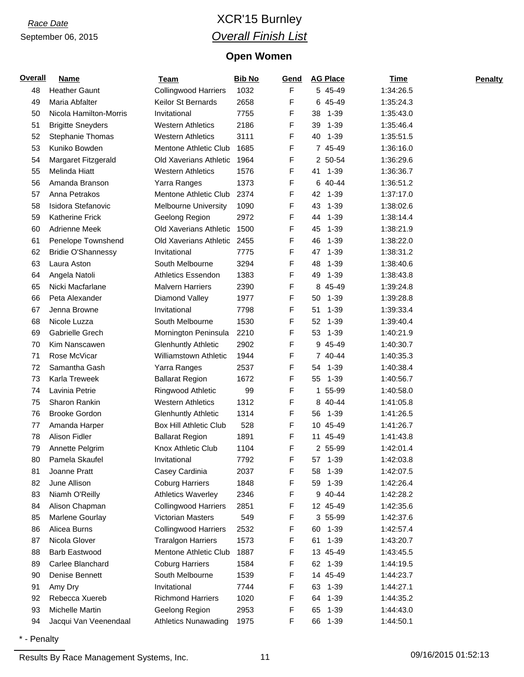### *Race Date* XCR'15 Burnley *Overall Finish List*

#### **Open Women**

| <b>Overall</b> | <b>Name</b>               | <b>Team</b>                   | <b>Bib No</b> | Gend | <b>AG Place</b> | <b>Time</b> | <b>Penalty</b> |
|----------------|---------------------------|-------------------------------|---------------|------|-----------------|-------------|----------------|
| 48             | <b>Heather Gaunt</b>      | <b>Collingwood Harriers</b>   | 1032          | F    | 5 45-49         | 1:34:26.5   |                |
| 49             | Maria Abfalter            | Keilor St Bernards            | 2658          | F    | 6 45-49         | 1:35:24.3   |                |
| 50             | Nicola Hamilton-Morris    | Invitational                  | 7755          | F    | 38<br>1-39      | 1:35:43.0   |                |
| 51             | <b>Brigitte Sneyders</b>  | <b>Western Athletics</b>      | 2186          | F    | $1 - 39$<br>39  | 1:35:46.4   |                |
| 52             | Stephanie Thomas          | <b>Western Athletics</b>      | 3111          | F    | 40<br>1-39      | 1:35:51.5   |                |
| 53             | Kuniko Bowden             | Mentone Athletic Club         | 1685          | F    | 7 45-49         | 1:36:16.0   |                |
| 54             | Margaret Fitzgerald       | Old Xaverians Athletic        | 1964          | F    | 2 50-54         | 1:36:29.6   |                |
| 55             | Melinda Hiatt             | <b>Western Athletics</b>      | 1576          | F    | 41 1-39         | 1:36:36.7   |                |
| 56             | Amanda Branson            | Yarra Ranges                  | 1373          | F    | 6 40-44         | 1:36:51.2   |                |
| 57             | Anna Petrakos             | Mentone Athletic Club         | 2374          | F    | 42<br>$1 - 39$  | 1:37:17.0   |                |
| 58             | Isidora Stefanovic        | <b>Melbourne University</b>   | 1090          | F    | 43<br>$1 - 39$  | 1:38:02.6   |                |
| 59             | <b>Katherine Frick</b>    | Geelong Region                | 2972          | F    | $1 - 39$<br>44  | 1:38:14.4   |                |
| 60             | <b>Adrienne Meek</b>      | Old Xaverians Athletic        | 1500          | F    | 45<br>$1 - 39$  | 1:38:21.9   |                |
| 61             | Penelope Townshend        | Old Xaverians Athletic        | 2455          | F    | 46<br>$1 - 39$  | 1:38:22.0   |                |
| 62             | <b>Bridie O'Shannessy</b> | Invitational                  | 7775          | F    | 47<br>$1 - 39$  | 1:38:31.2   |                |
| 63             | Laura Aston               | South Melbourne               | 3294          | F    | 48<br>1-39      | 1:38:40.6   |                |
| 64             | Angela Natoli             | <b>Athletics Essendon</b>     | 1383          | F    | 1-39<br>49      | 1:38:43.8   |                |
| 65             | Nicki Macfarlane          | <b>Malvern Harriers</b>       | 2390          | F    | 8 45-49         | 1:39:24.8   |                |
| 66             | Peta Alexander            | Diamond Valley                | 1977          | F    | 50<br>$1 - 39$  | 1:39:28.8   |                |
| 67             | Jenna Browne              | Invitational                  | 7798          | F    | $1 - 39$<br>51  | 1:39:33.4   |                |
| 68             | Nicole Luzza              | South Melbourne               | 1530          | F    | 52<br>$1 - 39$  | 1:39:40.4   |                |
| 69             | Gabrielle Grech           | Mornington Peninsula          | 2210          | F    | $1 - 39$<br>53  | 1:40:21.9   |                |
| 70             | Kim Nanscawen             | <b>Glenhuntly Athletic</b>    | 2902          | F    | 9 45-49         | 1:40:30.7   |                |
| 71             | Rose McVicar              | Williamstown Athletic         | 1944          | F    | 7 40-44         | 1:40:35.3   |                |
| 72             | Samantha Gash             | Yarra Ranges                  | 2537          | F    | 54 1-39         | 1:40:38.4   |                |
| 73             | Karla Treweek             | <b>Ballarat Region</b>        | 1672          | F    | 55<br>$1 - 39$  | 1:40:56.7   |                |
| 74             | Lavinia Petrie            | Ringwood Athletic             | 99            | F    | 55-99<br>1      | 1:40:58.0   |                |
| 75             | Sharon Rankin             | <b>Western Athletics</b>      | 1312          | F    | 8 40-44         | 1:41:05.8   |                |
| 76             | <b>Brooke Gordon</b>      | <b>Glenhuntly Athletic</b>    | 1314          | F    | 1-39<br>56      | 1:41:26.5   |                |
| 77             | Amanda Harper             | <b>Box Hill Athletic Club</b> | 528           | F    | 10 45-49        | 1:41:26.7   |                |
| 78             | Alison Fidler             | <b>Ballarat Region</b>        | 1891          | F    | 11 45-49        | 1:41:43.8   |                |
| 79             | Annette Pelgrim           | Knox Athletic Club            | 1104          | F    | 2 55-99         | 1:42:01.4   |                |
| 80             | Pamela Skaufel            | Invitational                  | 7792          | F    | 57<br>$1 - 39$  | 1:42:03.8   |                |
| 81             | Joanne Pratt              | Casey Cardinia                | 2037          | F    | $1 - 39$<br>58  | 1:42:07.5   |                |
| 82             | June Allison              | <b>Coburg Harriers</b>        | 1848          | F    | 59<br>1-39      | 1:42:26.4   |                |
| 83             | Niamh O'Reilly            | <b>Athletics Waverley</b>     | 2346          | F    | 9 40-44         | 1:42:28.2   |                |
| 84             | Alison Chapman            | <b>Collingwood Harriers</b>   | 2851          | F    | 12 45-49        | 1:42:35.6   |                |
| 85             | Marlene Gourlay           | Victorian Masters             | 549           | F    | 3 55-99         | 1:42:37.6   |                |
| 86             | Alicea Burns              | <b>Collingwood Harriers</b>   | 2532          | F    | 60 1-39         | 1:42:57.4   |                |
| 87             | Nicola Glover             | <b>Traralgon Harriers</b>     | 1573          | F    | $1 - 39$<br>61  | 1:43:20.7   |                |
| 88             | <b>Barb Eastwood</b>      | Mentone Athletic Club         | 1887          | F    | 13 45-49        | 1:43:45.5   |                |
| 89             | Carlee Blanchard          | <b>Coburg Harriers</b>        | 1584          | F    | 62 1-39         | 1:44:19.5   |                |
| 90             | Denise Bennett            | South Melbourne               | 1539          | F    | 14 45-49        | 1:44:23.7   |                |
| 91             | Amy Dry                   | Invitational                  | 7744          | F    | 63 1-39         | 1:44:27.1   |                |
| 92             | Rebecca Xuereb            | <b>Richmond Harriers</b>      | 1020          | F    | 64 1-39         | 1:44:35.2   |                |
| 93             | Michelle Martin           | Geelong Region                | 2953          | F    | $1 - 39$<br>65  | 1:44:43.0   |                |
| 94             | Jacqui Van Veenendaal     | <b>Athletics Nunawading</b>   | 1975          | F    | 66<br>$1 - 39$  | 1:44:50.1   |                |

\* - Penalty

Results By Race Management Systems, Inc. 11 09/16/2015 01:52:13